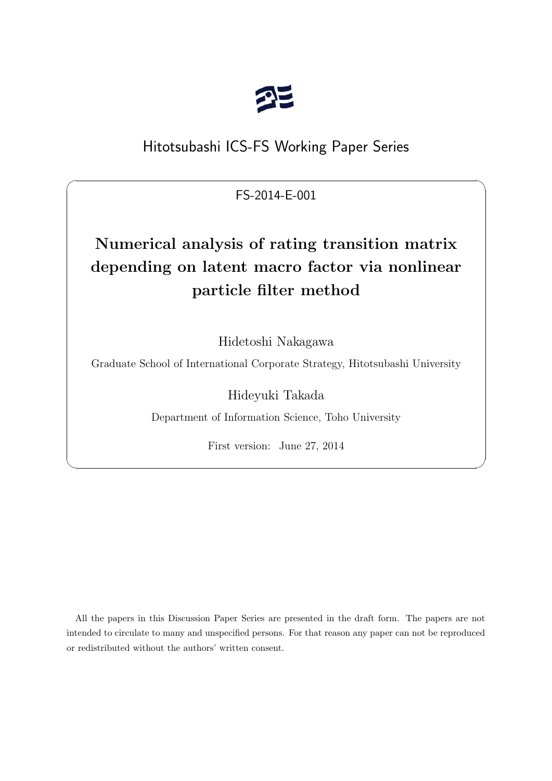

# Hitotsubashi ICS-FS Working Paper Series

FS-2014-E-001

 $\sqrt{2\pi}$ 

# **Numerical analysis of rating transition matrix depending on latent macro factor via nonlinear particle filter method**

Hidetoshi Nakagawa

Graduate School of International Corporate Strategy, Hitotsubashi University

Hideyuki Takada

Department of Information Science, Toho University

First version: June 27, 2014

✒ ✑

All the papers in this Discussion Paper Series are presented in the draft form. The papers are not intended to circulate to many and unspecified persons. For that reason any paper can not be reproduced or redistributed without the authors' written consent.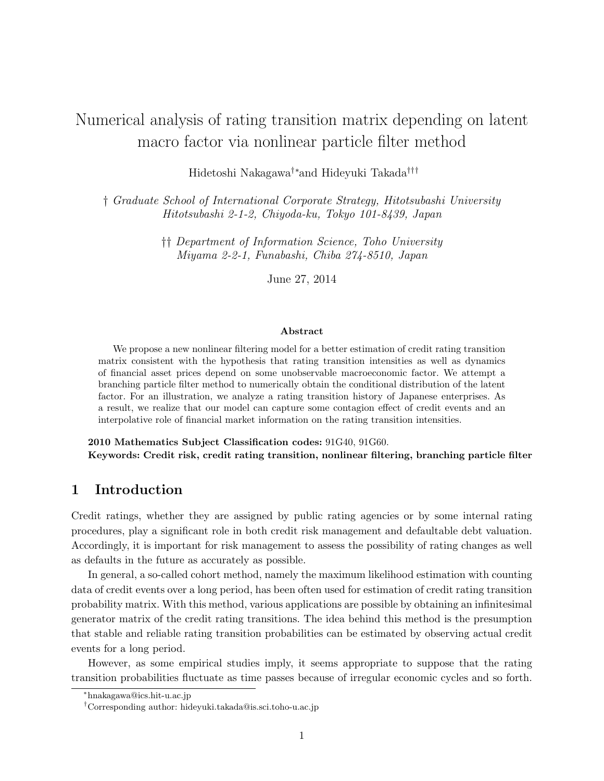# Numerical analysis of rating transition matrix depending on latent macro factor via nonlinear particle filter method

Hidetoshi Nakagawa*†∗*and Hideyuki Takada*†††*

*† Graduate School of International Corporate Strategy, Hitotsubashi University Hitotsubashi 2-1-2, Chiyoda-ku, Tokyo 101-8439, Japan*

> *†† Department of Information Science, Toho University Miyama 2-2-1, Funabashi, Chiba 274-8510, Japan*

> > June 27, 2014

### **Abstract**

We propose a new nonlinear filtering model for a better estimation of credit rating transition matrix consistent with the hypothesis that rating transition intensities as well as dynamics of financial asset prices depend on some unobservable macroeconomic factor. We attempt a branching particle filter method to numerically obtain the conditional distribution of the latent factor. For an illustration, we analyze a rating transition history of Japanese enterprises. As a result, we realize that our model can capture some contagion effect of credit events and an interpolative role of financial market information on the rating transition intensities.

**2010 Mathematics Subject Classification codes:** 91G40, 91G60. **Keywords: Credit risk, credit rating transition, nonlinear filtering, branching particle filter**

# **1 Introduction**

Credit ratings, whether they are assigned by public rating agencies or by some internal rating procedures, play a significant role in both credit risk management and defaultable debt valuation. Accordingly, it is important for risk management to assess the possibility of rating changes as well as defaults in the future as accurately as possible.

In general, a so-called cohort method, namely the maximum likelihood estimation with counting data of credit events over a long period, has been often used for estimation of credit rating transition probability matrix. With this method, various applications are possible by obtaining an infinitesimal generator matrix of the credit rating transitions. The idea behind this method is the presumption that stable and reliable rating transition probabilities can be estimated by observing actual credit events for a long period.

However, as some empirical studies imply, it seems appropriate to suppose that the rating transition probabilities fluctuate as time passes because of irregular economic cycles and so forth.

*<sup>∗</sup>*hnakagawa@ics.hit-u.ac.jp

*<sup>†</sup>*Corresponding author: hideyuki.takada@is.sci.toho-u.ac.jp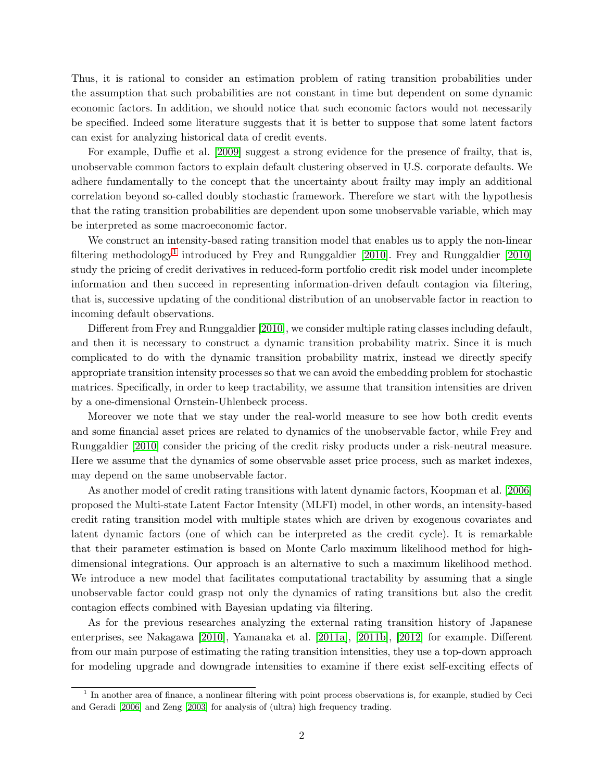Thus, it is rational to consider an estimation problem of rating transition probabilities under the assumption that such probabilities are not constant in time but dependent on some dynamic economic factors. In addition, we should notice that such economic factors would not necessarily be specified. Indeed some literature suggests that it is better to suppose that some latent factors can exist for analyzing historical data of credit events.

For example, Duffie et al. [\[2009\]](#page-25-0) suggest a strong evidence for the presence of frailty, that is, unobservable common factors to explain default clustering observed in U.S. corporate defaults. We adhere fundamentally to the concept that the uncertainty about frailty may imply an additional correlation beyond so-called doubly stochastic framework. Therefore we start with the hypothesis that the rating transition probabilities are dependent upon some unobservable variable, which may be interpreted as some macroeconomic factor.

We construct an intensity-based rating transition model that enables us to apply the non-linear filtering methodology<sup>[1](#page-2-0)</sup> introduced by Frey and Runggaldier [\[2010\]](#page-25-1). Frey and Runggaldier [2010] study the pricing of credit derivatives in reduced-form portfolio credit risk model under incomplete information and then succeed in representing information-driven default contagion via filtering, that is, successive updating of the conditional distribution of an unobservable factor in reaction to incoming default observations.

Different from Frey and Runggaldier [\[2010\]](#page-25-1), we consider multiple rating classes including default, and then it is necessary to construct a dynamic transition probability matrix. Since it is much complicated to do with the dynamic transition probability matrix, instead we directly specify appropriate transition intensity processes so that we can avoid the embedding problem for stochastic matrices. Specifically, in order to keep tractability, we assume that transition intensities are driven by a one-dimensional Ornstein-Uhlenbeck process.

Moreover we note that we stay under the real-world measure to see how both credit events and some financial asset prices are related to dynamics of the unobservable factor, while Frey and Runggaldier [\[2010\]](#page-25-1) consider the pricing of the credit risky products under a risk-neutral measure. Here we assume that the dynamics of some observable asset price process, such as market indexes, may depend on the same unobservable factor.

As another model of credit rating transitions with latent dynamic factors, Koopman et al. [\[2006\]](#page-25-2) proposed the Multi-state Latent Factor Intensity (MLFI) model, in other words, an intensity-based credit rating transition model with multiple states which are driven by exogenous covariates and latent dynamic factors (one of which can be interpreted as the credit cycle). It is remarkable that their parameter estimation is based on Monte Carlo maximum likelihood method for highdimensional integrations. Our approach is an alternative to such a maximum likelihood method. We introduce a new model that facilitates computational tractability by assuming that a single unobservable factor could grasp not only the dynamics of rating transitions but also the credit contagion effects combined with Bayesian updating via filtering.

As for the previous researches analyzing the external rating transition history of Japanese enterprises, see Nakagawa [\[2010\]](#page-25-3), Yamanaka et al. [\[2011a\]](#page-26-0), [\[2011b\]](#page-26-1), [\[2012\]](#page-26-2) for example. Different from our main purpose of estimating the rating transition intensities, they use a top-down approach for modeling upgrade and downgrade intensities to examine if there exist self-exciting effects of

<span id="page-2-0"></span><sup>&</sup>lt;sup>1</sup> In another area of finance, a nonlinear filtering with point process observations is, for example, studied by Ceci and Geradi [\[2006\]](#page-25-4) and Zeng [\[2003\]](#page-26-3) for analysis of (ultra) high frequency trading.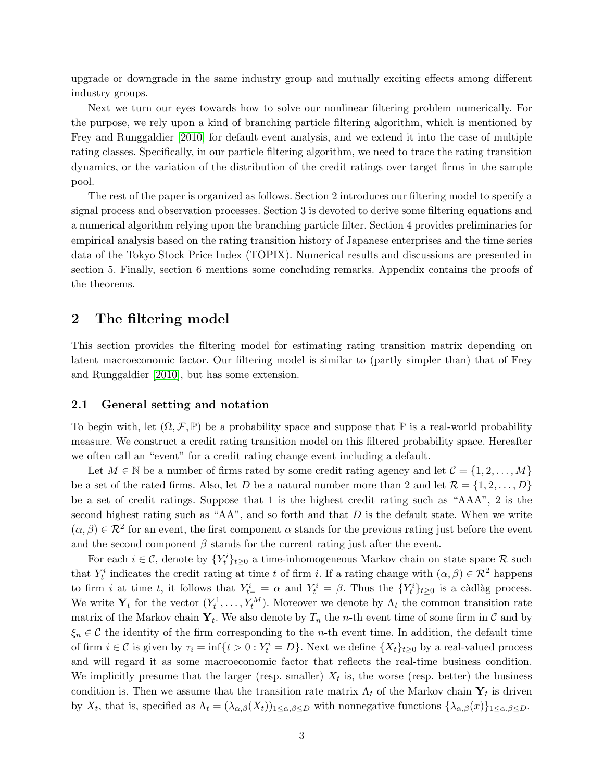upgrade or downgrade in the same industry group and mutually exciting effects among different industry groups.

Next we turn our eyes towards how to solve our nonlinear filtering problem numerically. For the purpose, we rely upon a kind of branching particle filtering algorithm, which is mentioned by Frey and Runggaldier [\[2010\]](#page-25-1) for default event analysis, and we extend it into the case of multiple rating classes. Specifically, in our particle filtering algorithm, we need to trace the rating transition dynamics, or the variation of the distribution of the credit ratings over target firms in the sample pool.

The rest of the paper is organized as follows. Section 2 introduces our filtering model to specify a signal process and observation processes. Section 3 is devoted to derive some filtering equations and a numerical algorithm relying upon the branching particle filter. Section 4 provides preliminaries for empirical analysis based on the rating transition history of Japanese enterprises and the time series data of the Tokyo Stock Price Index (TOPIX). Numerical results and discussions are presented in section 5. Finally, section 6 mentions some concluding remarks. Appendix contains the proofs of the theorems.

# **2 The filtering model**

This section provides the filtering model for estimating rating transition matrix depending on latent macroeconomic factor. Our filtering model is similar to (partly simpler than) that of Frey and Runggaldier [\[2010\]](#page-25-1), but has some extension.

### **2.1 General setting and notation**

To begin with, let  $(\Omega, \mathcal{F}, \mathbb{P})$  be a probability space and suppose that  $\mathbb{P}$  is a real-world probability measure. We construct a credit rating transition model on this filtered probability space. Hereafter we often call an "event" for a credit rating change event including a default.

Let  $M \in \mathbb{N}$  be a number of firms rated by some credit rating agency and let  $\mathcal{C} = \{1, 2, \ldots, M\}$ be a set of the rated firms. Also, let *D* be a natural number more than 2 and let  $\mathcal{R} = \{1, 2, \ldots, D\}$ be a set of credit ratings. Suppose that 1 is the highest credit rating such as "AAA", 2 is the second highest rating such as "AA", and so forth and that *D* is the default state. When we write  $(\alpha, \beta) \in \mathbb{R}^2$  for an event, the first component  $\alpha$  stands for the previous rating just before the event and the second component  $\beta$  stands for the current rating just after the event.

For each  $i \in \mathcal{C}$ , denote by  $\{Y_t^i\}_{t \geq 0}$  a time-inhomogeneous Markov chain on state space  $\mathcal R$  such that  $Y_t^i$  indicates the credit rating at time *t* of firm *i*. If a rating change with  $(\alpha, \beta) \in \mathbb{R}^2$  happens to firm *i* at time *t*, it follows that  $Y_{t-}^i = \alpha$  and  $Y_t^i = \beta$ . Thus the  $\{Y_t^i\}_{t \geq 0}$  is a càdlàg process. We write  $\mathbf{Y}_t$  for the vector  $(Y_t^1, \ldots, Y_t^M)$ . Moreover we denote by  $\Lambda_t$  the common transition rate matrix of the Markov chain  $\mathbf{Y}_t$ . We also denote by  $T_n$  the *n*-th event time of some firm in  $\mathcal C$  and by  $\xi_n \in \mathcal{C}$  the identity of the firm corresponding to the *n*-th event time. In addition, the default time of firm  $i \in \mathcal{C}$  is given by  $\tau_i = \inf\{t > 0 : Y_t^i = D\}$ . Next we define  $\{X_t\}_{t \geq 0}$  by a real-valued process and will regard it as some macroeconomic factor that reflects the real-time business condition. We implicitly presume that the larger (resp. smaller)  $X_t$  is, the worse (resp. better) the business condition is. Then we assume that the transition rate matrix  $\Lambda_t$  of the Markov chain  $\mathbf{Y}_t$  is driven by  $X_t$ , that is, specified as  $\Lambda_t = (\lambda_{\alpha,\beta}(X_t))_{1 \leq \alpha,\beta \leq D}$  with nonnegative functions  $\{\lambda_{\alpha,\beta}(x)\}_{1 \leq \alpha,\beta \leq D}$ .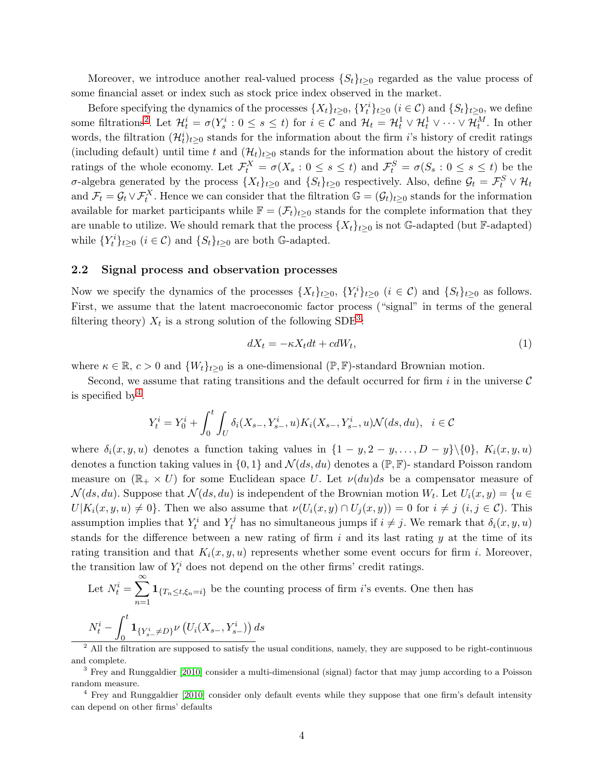Moreover, we introduce another real-valued process  $\{S_t\}_{t\geq 0}$  regarded as the value process of some financial asset or index such as stock price index observed in the market.

Before specifying the dynamics of the processes  $\{X_t\}_{t\geq 0}$ ,  $\{Y_t^i\}_{t\geq 0}$   $(i \in \mathcal{C})$  and  $\{S_t\}_{t\geq 0}$ , we define some filtrations<sup>[2](#page-4-0)</sup>. Let  $\mathcal{H}_t^i = \sigma(Y_s^i : 0 \le s \le t)$  for  $i \in \mathcal{C}$  and  $\mathcal{H}_t = \mathcal{H}_t^1 \vee \mathcal{H}_t^1 \vee \cdots \vee \mathcal{H}_t^M$ . In other words, the filtration  $(\mathcal{H}_t^i)_{t\geq 0}$  stands for the information about the firm *i*'s history of credit ratings (including default) until time *t* and  $(H_t)_{t>0}$  stands for the information about the history of credit ratings of the whole economy. Let  $\mathcal{F}_t^X = \sigma(X_s : 0 \le s \le t)$  and  $\mathcal{F}_t^S = \sigma(S_s : 0 \le s \le t)$  be the  $\sigma$ -algebra generated by the process  $\{X_t\}_{t\geq 0}$  and  $\{S_t\}_{t\geq 0}$  respectively. Also, define  $\mathcal{G}_t = \mathcal{F}_t^S \vee \mathcal{H}_t$ and  $\mathcal{F}_t = \mathcal{G}_t \vee \mathcal{F}_t^X$ . Hence we can consider that the filtration  $\mathbb{G} = (\mathcal{G}_t)_{t \geq 0}$  stands for the information available for market participants while  $\mathbb{F} = (\mathcal{F}_t)_{t>0}$  stands for the complete information that they are unable to utilize. We should remark that the process  $\{X_t\}_{t>0}$  is not G-adapted (but F-adapted) while  ${Y_t^i}_{t \geq 0}$   $(i \in \mathcal{C})$  and  ${S_t}_{t \geq 0}$  are both G-adapted.

### <span id="page-4-4"></span>**2.2 Signal process and observation processes**

Now we specify the dynamics of the processes  $\{X_t\}_{t\geq0}$ ,  $\{Y_t^i\}_{t\geq0}$  ( $i\in\mathcal{C}$ ) and  $\{S_t\}_{t\geq0}$  as follows. First, we assume that the latent macroeconomic factor process ("signal" in terms of the general filtering theory)  $X_t$  is a strong solution of the following SDE<sup>[3](#page-4-1)</sup>:

<span id="page-4-3"></span>
$$
dX_t = -\kappa X_t dt + c dW_t, \tag{1}
$$

where  $\kappa \in \mathbb{R}$ ,  $c > 0$  and  $\{W_t\}_{t>0}$  is a one-dimensional  $(\mathbb{P}, \mathbb{F})$ -standard Brownian motion.

Second, we assume that rating transitions and the default occurred for firm  $i$  in the universe  $\mathcal C$ is specified by<sup>[4](#page-4-2)</sup>.

$$
Y_t^i = Y_0^i + \int_0^t \int_U \delta_i(X_{s-}, Y_{s-}^i, u) K_i(X_{s-}, Y_{s-}^i, u) \mathcal{N}(ds, du), \quad i \in \mathcal{C}
$$

where  $\delta_i(x, y, u)$  denotes a function taking values in  $\{1 - y, 2 - y, \ldots, D - y\} \setminus \{0\}, K_i(x, y, u)$ denotes a function taking values in  $\{0,1\}$  and  $\mathcal{N}(ds, du)$  denotes a  $(\mathbb{P}, \mathbb{F})$ -standard Poisson random measure on  $(\mathbb{R}_+ \times U)$  for some Euclidean space U. Let  $\nu(du)ds$  be a compensator measure of  $\mathcal{N}(ds, du)$ . Suppose that  $\mathcal{N}(ds, du)$  is independent of the Brownian motion  $W_t$ . Let  $U_i(x, y) = \{u \in$  $U|K_i(x, y, u) \neq 0$ . Then we also assume that  $\nu(U_i(x, y) \cap U_j(x, y)) = 0$  for  $i \neq j$   $(i, j \in \mathcal{C})$ . This assumption implies that  $Y_t^i$  and  $Y_t^j$  has no simultaneous jumps if  $i \neq j$ . We remark that  $\delta_i(x, y, u)$ stands for the difference between a new rating of firm *i* and its last rating *y* at the time of its rating transition and that  $K_i(x, y, u)$  represents whether some event occurs for firm *i*. Moreover, the transition law of  $Y_t^i$  does not depend on the other firms' credit ratings.

Let 
$$
N_t^i = \sum_{n=1}^{\infty} \mathbf{1}_{\{T_n \le t, \xi_n = i\}}
$$
 be the counting process of firm *i*'s events. One then has

$$
N_t^i - \int_0^t \mathbf{1}_{\{Y_{s-}^i \neq D\}} \nu\left(U_i(X_{s-}, Y_{s-}^i)\right) ds
$$

<span id="page-4-0"></span><sup>&</sup>lt;sup>2</sup> All the filtration are supposed to satisfy the usual conditions, namely, they are supposed to be right-continuous and complete.

<span id="page-4-1"></span><sup>3</sup> Frey and Runggaldier [\[2010\]](#page-25-1) consider a multi-dimensional (signal) factor that may jump according to a Poisson random measure.

<span id="page-4-2"></span><sup>4</sup> Frey and Runggaldier [\[2010\]](#page-25-1) consider only default events while they suppose that one firm's default intensity can depend on other firms' defaults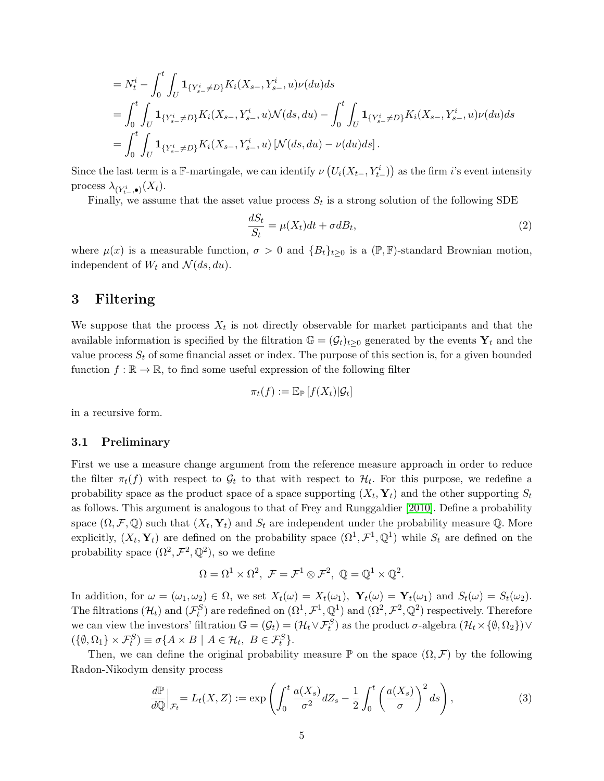$$
= N_t^i - \int_0^t \int_U \mathbf{1}_{\{Y_{s-}^i \neq D\}} K_i(X_{s-}, Y_{s-}^i, u) \nu(du) ds
$$
  
\n
$$
= \int_0^t \int_U \mathbf{1}_{\{Y_{s-}^i \neq D\}} K_i(X_{s-}, Y_{s-}^i, u) \mathcal{N}(ds, du) - \int_0^t \int_U \mathbf{1}_{\{Y_{s-}^i \neq D\}} K_i(X_{s-}, Y_{s-}^i, u) \nu(du) ds
$$
  
\n
$$
= \int_0^t \int_U \mathbf{1}_{\{Y_{s-}^i \neq D\}} K_i(X_{s-}, Y_{s-}^i, u) \left[ \mathcal{N}(ds, du) - \nu(du) ds \right].
$$

Since the last term is a F-martingale, we can identify  $\nu\left(U_i(X_{t-}, Y_{t-}^i)\right)$  as the firm *i*'s event intensity process  $\lambda_{(Y_{t-}^i, \bullet)}(X_t)$ .

Finally, we assume that the asset value process  $S_t$  is a strong solution of the following SDE

<span id="page-5-0"></span>
$$
\frac{dS_t}{S_t} = \mu(X_t)dt + \sigma dB_t,\tag{2}
$$

where  $\mu(x)$  is a measurable function,  $\sigma > 0$  and  ${B_t}_{t\geq 0}$  is a ( $\mathbb{P}, \mathbb{F}$ )-standard Brownian motion, independent of  $W_t$  and  $\mathcal{N}(ds, du)$ .

# **3 Filtering**

We suppose that the process  $X_t$  is not directly observable for market participants and that the available information is specified by the filtration  $\mathbb{G} = (\mathcal{G}_t)_{t \geq 0}$  generated by the events  $\mathbf{Y}_t$  and the value process  $S_t$  of some financial asset or index. The purpose of this section is, for a given bounded function  $f : \mathbb{R} \to \mathbb{R}$ , to find some useful expression of the following filter

$$
\pi_t(f) := \mathbb{E}_{\mathbb{P}}\left[f(X_t)|\mathcal{G}_t\right]
$$

in a recursive form.

### **3.1 Preliminary**

First we use a measure change argument from the reference measure approach in order to reduce the filter  $\pi_t(f)$  with respect to  $\mathcal{G}_t$  to that with respect to  $\mathcal{H}_t$ . For this purpose, we redefine a probability space as the product space of a space supporting  $(X_t, Y_t)$  and the other supporting  $S_t$ as follows. This argument is analogous to that of Frey and Runggaldier [\[2010\]](#page-25-1). Define a probability space  $(\Omega, \mathcal{F}, \mathbb{Q})$  such that  $(X_t, Y_t)$  and  $S_t$  are independent under the probability measure  $\mathbb{Q}$ . More explicitly,  $(X_t, Y_t)$  are defined on the probability space  $(\Omega^1, \mathcal{F}^1, \mathbb{Q}^1)$  while  $S_t$  are defined on the probability space  $(\Omega^2, \mathcal{F}^2, \mathbb{Q}^2)$ , so we define

$$
\Omega = \Omega^1 \times \Omega^2, \ \mathcal{F} = \mathcal{F}^1 \otimes \mathcal{F}^2, \ \mathbb{Q} = \mathbb{Q}^1 \times \mathbb{Q}^2.
$$

In addition, for  $\omega = (\omega_1, \omega_2) \in \Omega$ , we set  $X_t(\omega) = X_t(\omega_1)$ ,  $\mathbf{Y}_t(\omega) = \mathbf{Y}_t(\omega_1)$  and  $S_t(\omega) = S_t(\omega_2)$ . The filtrations  $(\mathcal{H}_t)$  and  $(\mathcal{F}_t^S)$  are redefined on  $(\Omega^1, \mathcal{F}^1, \mathbb{Q}^1)$  and  $(\Omega^2, \mathcal{F}^2, \mathbb{Q}^2)$  respectively. Therefore we can view the investors' filtration  $\mathbb{G} = (\mathcal{G}_t) = (\mathcal{H}_t \vee \mathcal{F}_t^S)$  as the product  $\sigma$ -algebra  $(\mathcal{H}_t \times {\emptyset}, \Omega_2)$ ) $\vee$  $(\{\emptyset, \Omega_1\} \times \mathcal{F}_t^S) \equiv \sigma\{A \times B \mid A \in \mathcal{H}_t, B \in \mathcal{F}_t^S\}.$ 

Then, we can define the original probability measure  $\mathbb P$  on the space  $(\Omega, \mathcal F)$  by the following Radon-Nikodym density process

<span id="page-5-1"></span>
$$
\frac{d\mathbb{P}}{d\mathbb{Q}}\Big|_{\mathcal{F}_t} = L_t(X, Z) := \exp\left(\int_0^t \frac{a(X_s)}{\sigma^2} dZ_s - \frac{1}{2} \int_0^t \left(\frac{a(X_s)}{\sigma}\right)^2 ds\right),\tag{3}
$$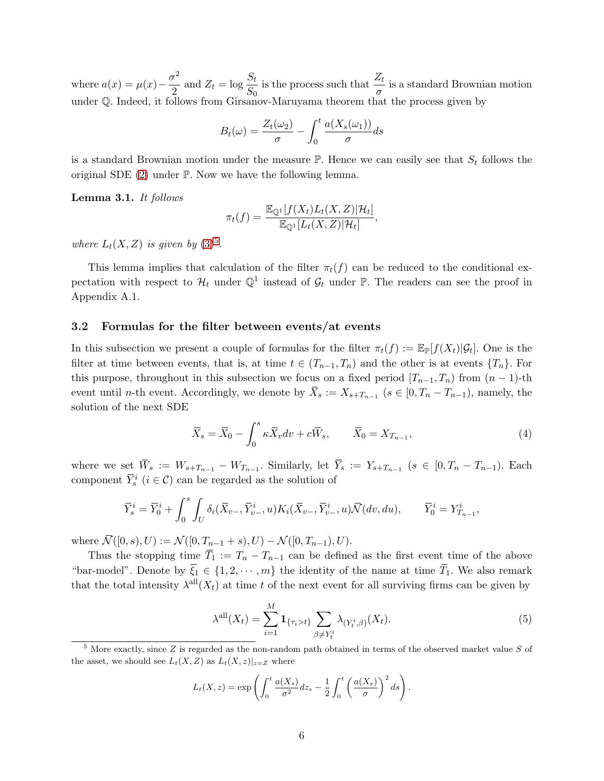where  $a(x) = \mu(x) - \frac{\sigma^2}{2}$  $\frac{\sigma^2}{2}$  and  $Z_t = \log \frac{S_t}{S_0}$ is the process such that  $\frac{Z_t}{\sigma}$  is a standard Brownian motion under Q. Indeed, it follows from Girsanov-Maruyama theorem that the process given by

$$
B_t(\omega) = \frac{Z_t(\omega_2)}{\sigma} - \int_0^t \frac{a(X_s(\omega_1))}{\sigma} ds
$$

is a standard Brownian motion under the measure  $\mathbb{P}$ . Hence we can easily see that  $S_t$  follows the original SDE  $(2)$  under  $\mathbb P$ . Now we have the following lemma.

<span id="page-6-3"></span>**Lemma 3.1.** *It follows*

$$
\pi_t(f) = \frac{\mathbb{E}_{\mathbb{Q}^1}[f(X_t)L_t(X,Z)|\mathcal{H}_t]}{\mathbb{E}_{\mathbb{Q}^1}[L_t(X,Z)|\mathcal{H}_t]},
$$

*where*  $L_t(X, Z)$  *is given by*  $(3)^5$  $(3)^5$  $(3)^5$ *.* 

This lemma implies that calculation of the filter  $\pi_t(f)$  can be reduced to the conditional expectation with respect to  $\mathcal{H}_t$  under  $\mathbb{Q}^1$  instead of  $\mathcal{G}_t$  under  $\mathbb{P}$ . The readers can see the proof in Appendix A.1.

### <span id="page-6-4"></span>**3.2 Formulas for the filter between events/at events**

In this subsection we present a couple of formulas for the filter  $\pi_t(f) := \mathbb{E}_{\mathbb{P}}[f(X_t)|\mathcal{G}_t]$ . One is the filter at time between events, that is, at time  $t \in (T_{n-1}, T_n)$  and the other is at events  $\{T_n\}$ . For this purpose, throughout in this subsection we focus on a fixed period  $[T_{n-1}, T_n]$  from  $(n-1)$ -th event until *n*-th event. Accordingly, we denote by  $X_s := X_{s+T_{n-1}}$  ( $s \in [0, T_n - T_{n-1})$ , namely, the solution of the next SDE

<span id="page-6-1"></span>
$$
\overline{X}_s = \overline{X}_0 - \int_0^s \kappa \overline{X}_v dv + c \overline{W}_s, \qquad \overline{X}_0 = X_{T_{n-1}}, \tag{4}
$$

where we set  $W_s := W_{s+T_{n-1}} - W_{T_{n-1}}$ . Similarly, let  $Y_s := Y_{s+T_{n-1}}$   $(s \in [0, T_n - T_{n-1})$ . Each component  $\overline{Y}_s^i$  ( $i \in \mathcal{C}$ ) can be regarded as the solution of

$$
\overline{Y}_s^i = \overline{Y}_0^i + \int_0^s \int_U \delta_i(\overline{X}_{v-}, \overline{Y}_{v-}^i, u) K_i(\overline{X}_{v-}, \overline{Y}_{v-}^i, u) \overline{\mathcal{N}}(dv, du), \qquad \overline{Y}_0^i = Y_{T_{n-1}}^i,
$$

where  $\overline{\mathcal{N}}([0, s), U) := \mathcal{N}([0, T_{n-1} + s), U) - \mathcal{N}([0, T_{n-1}), U).$ 

Thus the stopping time  $\overline{T}_1 := T_n - T_{n-1}$  can be defined as the first event time of the above "bar-model". Denote by  $\overline{\xi}_1 \in \{1, 2, \cdots, m\}$  the identity of the name at time  $\overline{T}_1$ . We also remark that the total intensity  $\lambda^{\text{all}}(X_t)$  at time *t* of the next event for all surviving firms can be given by

<span id="page-6-2"></span>
$$
\lambda^{\text{all}}(X_t) = \sum_{i=1}^{M} \mathbf{1}_{\{\tau_i > t\}} \sum_{\beta \neq Y_t^i} \lambda_{(Y_t^i, \beta)}(X_t). \tag{5}
$$

$$
L_t(X, z) = \exp\left(\int_0^t \frac{a(X_s)}{\sigma^2} dz_s - \frac{1}{2} \int_0^t \left(\frac{a(X_s)}{\sigma}\right)^2 ds\right).
$$

<span id="page-6-0"></span><sup>5</sup> More exactly, since *Z* is regarded as the non-random path obtained in terms of the observed market value *S* of the asset, we should see  $L_t(X, Z)$  as  $L_t(X, z)|_{z=Z}$  where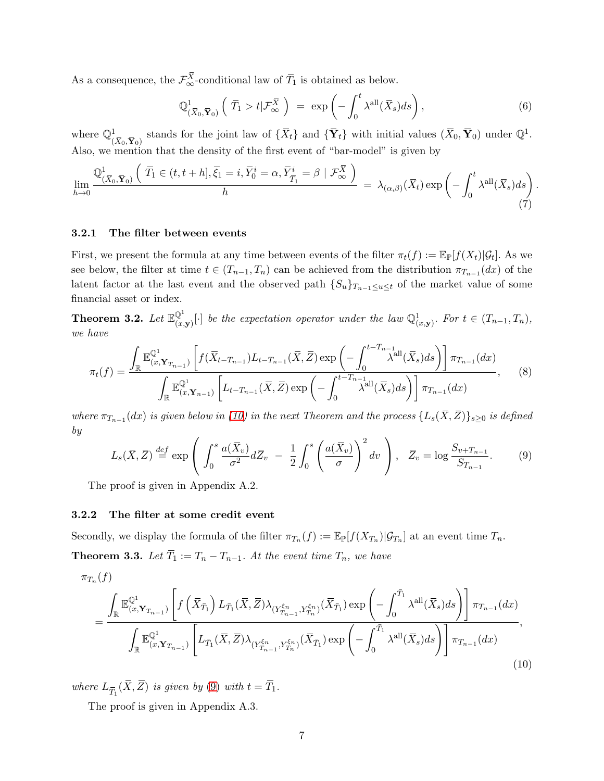As a consequence, the  $\mathcal{F}_{\infty}^X$ -conditional law of  $\overline{T}_1$  is obtained as below.

<span id="page-7-5"></span>
$$
\mathbb{Q}^1_{(\overline{X}_0, \overline{Y}_0)}\left(\overline{T}_1 > t | \mathcal{F}_{\infty}^{\overline{X}}\right) \ = \ \exp\left(-\int_0^t \lambda^{\text{all}}(\overline{X}_s)ds\right),\tag{6}
$$

where  $\mathbb{Q}^1_{(\overline{X}_0, \overline{Y}_0)}$  stands for the joint law of  $\{\overline{X}_t\}$  and  $\{\overline{Y}_t\}$  with initial values  $(\overline{X}_0, \overline{Y}_0)$  under  $\mathbb{Q}^1$ . Also, we mention that the density of the first event of "bar-model" is given by

<span id="page-7-6"></span>
$$
\lim_{h \to 0} \frac{\mathbb{Q}^1_{(\overline{X}_0, \overline{Y}_0)} \left( \overline{T}_1 \in (t, t+h], \overline{\xi}_1 = i, \overline{Y}_0^i = \alpha, \overline{Y}_{\overline{T}_1}^i = \beta \mid \mathcal{F}_{\infty}^{\overline{X}} \right)}{h} = \lambda_{(\alpha, \beta)}(\overline{X}_t) \exp \left( - \int_0^t \lambda^{\text{all}}(\overline{X}_s) ds \right). \tag{7}
$$

### **3.2.1 The filter between events**

First, we present the formula at any time between events of the filter  $\pi_t(f) := \mathbb{E}_{\mathbb{P}}[f(X_t)|\mathcal{G}_t]$ . As we see below, the filter at time  $t \in (T_{n-1}, T_n)$  can be achieved from the distribution  $\pi_{T_{n-1}}(dx)$  of the latent factor at the last event and the observed path  $\{S_u\}_{T_{n-1}\leq u\leq t}$  of the market value of some financial asset or index.

<span id="page-7-2"></span>**Theorem 3.2.** Let  $\mathbb{E}_{(x)}^{\mathbb{Q}^1}$  $\mathbb{Q}^1_{(x,\mathbf{y})}$  [·] be the expectation operator under the law  $\mathbb{Q}^1_{(x,\mathbf{y})}$ . For  $t \in (T_{n-1},T_n)$ , *we have*

<span id="page-7-4"></span>
$$
\pi_t(f) = \frac{\int_{\mathbb{R}} \mathbb{E}_{(x,\mathbf{Y}_{T_{n-1}})}^{\mathbb{Q}^1} \left[ f(\overline{X}_{t-T_{n-1}}) L_{t-T_{n-1}}(\overline{X}, \overline{Z}) \exp\left(-\int_0^{t-T_{n-1}} \lambda^{all}(\overline{X}_s) ds\right) \right] \pi_{T_{n-1}}(dx)}{\int_{\mathbb{R}} \mathbb{E}_{(x,\mathbf{Y}_{n-1})}^{\mathbb{Q}^1} \left[ L_{t-T_{n-1}}(\overline{X}, \overline{Z}) \exp\left(-\int_0^{t-T_{n-1}} \lambda^{all}(\overline{X}_s) ds\right) \right] \pi_{T_{n-1}}(dx)},
$$
\n(8)

*where*  $\pi_{T_{n-1}}(dx)$  *is given below in* [\(10\)](#page-7-0) *in the next Theorem and the process*  $\{L_s(X, Z)\}_{s\geq 0}$  *is defined by*

<span id="page-7-1"></span>
$$
L_s(\overline{X}, \overline{Z}) \stackrel{def}{=} \exp\left(\int_0^s \frac{a(\overline{X}_v)}{\sigma^2} d\overline{Z}_v - \frac{1}{2} \int_0^s \left(\frac{a(\overline{X}_v)}{\sigma}\right)^2 dv\right), \quad \overline{Z}_v = \log \frac{S_{v+T_{n-1}}}{S_{T_{n-1}}}.
$$
 (9)

The proof is given in Appendix A.2.

#### **3.2.2 The filter at some credit event**

<span id="page-7-3"></span>Secondly, we display the formula of the filter  $\pi_{T_n}(f) := \mathbb{E}_{\mathbb{P}}[f(X_{T_n})|\mathcal{G}_{T_n}]$  at an event time  $T_n$ . **Theorem 3.3.** *Let*  $\overline{T}_1 := T_n - T_{n-1}$ *. At the event time*  $T_n$ *, we have* 

$$
\pi_{T_n}(f)
$$
\n
$$
= \frac{\int_{\mathbb{R}} \mathbb{E}_{(x,\mathbf{Y}_{T_{n-1}})}^{\mathbb{Q}^1} \left[ f\left(\bar{X}_{\bar{T}_1}\right) L_{\bar{T}_1}(\bar{X},\bar{Z}) \lambda_{(Y_{T_{n-1}}^{\xi_n}, Y_{T_n}^{\xi_n})} (\bar{X}_{\bar{T}_1}) \exp\left(-\int_0^{\bar{T}_1} \lambda^{\text{all}}(\bar{X}_s) ds\right) \right] \pi_{T_{n-1}}(dx)}{\int_{\mathbb{R}} \mathbb{E}_{(x,\mathbf{Y}_{T_{n-1}})}^{\mathbb{Q}^1} \left[ L_{\bar{T}_1}(\bar{X},\bar{Z}) \lambda_{(Y_{T_{n-1}}^{\xi_n}, Y_{T_n}^{\xi_n})} (\bar{X}_{\bar{T}_1}) \exp\left(-\int_0^{\bar{T}_1} \lambda^{\text{all}}(\bar{X}_s) ds\right) \right] \pi_{T_{n-1}}(dx)} \tag{10}
$$

*where*  $L_{\overline{T}_1}(X, Z)$  *is given by* [\(9\)](#page-7-1) *with*  $t = T_1$ *.* 

<span id="page-7-0"></span>The proof is given in Appendix A.3.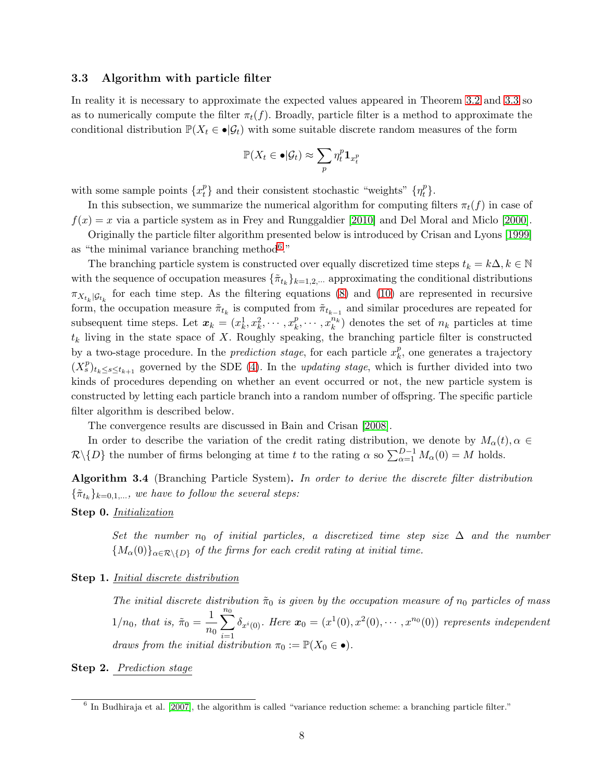### <span id="page-8-1"></span>**3.3 Algorithm with particle filter**

In reality it is necessary to approximate the expected values appeared in Theorem [3.2](#page-7-2) and [3.3](#page-7-3) so as to numerically compute the filter  $\pi_t(f)$ . Broadly, particle filter is a method to approximate the conditional distribution  $\mathbb{P}(X_t \in \bullet | \mathcal{G}_t)$  with some suitable discrete random measures of the form

$$
\mathbb{P}(X_t \in \bullet | \mathcal{G}_t) \approx \sum_p \eta_t^p \mathbf{1}_{x_t^p}
$$

with some sample points  ${x_t^p}$  $t$ <sup>*p*</sup><sub>*t*</sub><sup>*f*</sup></sup> and their consistent stochastic "weights" *{* $n_t$ *<sup><i>p*</sup></sup> *t }*.

In this subsection, we summarize the numerical algorithm for computing filters  $\pi_t(f)$  in case of  $f(x) = x$  via a particle system as in Frey and Runggaldier [\[2010\]](#page-25-1) and Del Moral and Miclo [\[2000\]](#page-25-5).

Originally the particle filter algorithm presented below is introduced by Crisan and Lyons [\[1999\]](#page-25-6) as "the minimal variance branching method<sup>[6](#page-8-0)</sup>."

The branching particle system is constructed over equally discretized time steps  $t_k = k\Delta, k \in \mathbb{N}$ with the sequence of occupation measures  ${\{\tilde{\pi}_{t_k}\}}_{k=1,2,\cdots}$  approximating the conditional distributions  $\pi_{X_{t_k}|\mathcal{G}_{t_k}}$  for each time step. As the filtering equations [\(8\)](#page-7-4) and [\(10\)](#page-7-0) are represented in recursive form, the occupation measure  $\tilde{\pi}_{t_k}$  is computed from  $\tilde{\pi}_{t_{k-1}}$  and similar procedures are repeated for subsequent time steps. Let  $\mathbf{x}_k = (x_k^1, x_k^2, \cdots, x_k^p)$  $\binom{p}{k}, \cdots, \binom{n}{k}$  denotes the set of  $n_k$  particles at time  $t_k$  living in the state space of *X*. Roughly speaking, the branching particle filter is constructed by a two-stage procedure. In the *prediction stage*, for each particle  $x_k^p$  $k$ <sup>,</sup> one generates a trajectory  $(X_s^p)_{t_k \leq s \leq t_{k+1}}$  governed by the SDE [\(4\)](#page-6-1). In the *updating stage*, which is further divided into two kinds of procedures depending on whether an event occurred or not, the new particle system is constructed by letting each particle branch into a random number of offspring. The specific particle filter algorithm is described below.

The convergence results are discussed in Bain and Crisan [\[2008\]](#page-25-7).

In order to describe the variation of the credit rating distribution, we denote by  $M_{\alpha}(t), \alpha \in$  $R\backslash\{D\}$  the number of firms belonging at time *t* to the rating *α* so  $\sum_{\alpha=1}^{D-1} M_{\alpha}(0) = M$  holds.

**Algorithm 3.4** (Branching Particle System)**.** *In order to derive the discrete filter distribution*  ${\{\tilde{\pi}_{t_k}\}_{k=0,1,\ldots}}$ *, we have to follow the several steps:* 

#### **Step 0.** *Initialization*

Set the number  $n_0$  of initial particles, a discretized time step size  $\Delta$  and the number  ${M_\alpha(0)}_{\alpha \in \mathcal{R} \setminus \{D\}}$  *of the firms for each credit rating at initial time.* 

### **Step 1.** *Initial discrete distribution*

*The initial discrete distribution*  $\tilde{\pi}_0$  *is given by the occupation measure of*  $n_0$  *particles of mass*  $1/n_0$ *, that is,*  $\tilde{\pi}_0 = \frac{1}{n_0}$ *n*0 ∑*n*0 *i*=1  $\delta_{x^i(0)}$ *. Here*  $x_0 = (x^1(0), x^2(0), \dots, x^{n_0}(0))$  *represents independent draws from the initial distribution*  $\pi_0 := \mathbb{P}(X_0 \in \bullet)$ *.* 

**Step 2.** *Prediction stage*

<span id="page-8-0"></span><sup>&</sup>lt;sup>6</sup> In Budhiraja et al. [\[2007\]](#page-25-8), the algorithm is called "variance reduction scheme: a branching particle filter."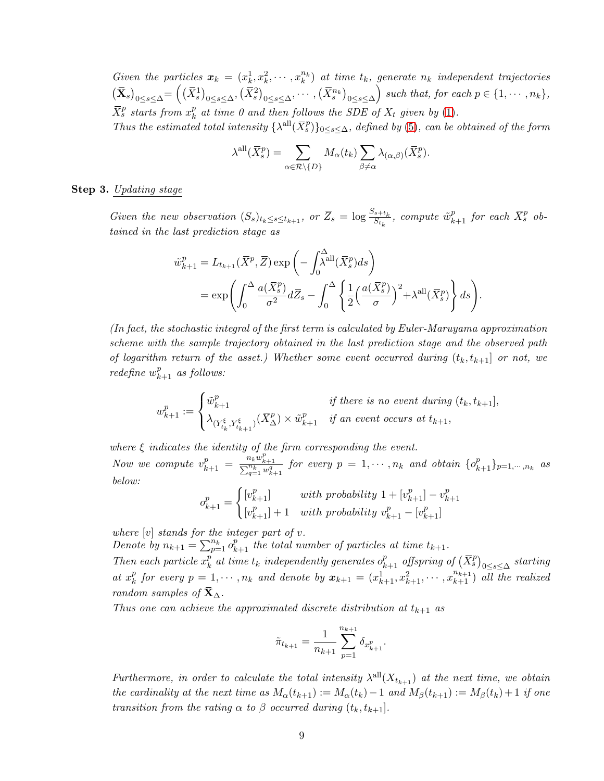Given the particles  $\mathbf{x}_k = (x_k^1, x_k^2, \cdots, x_k^{n_k})$  at time  $t_k$ , generate  $n_k$  independent trajectories  $(\bar{\mathbf{X}}_s)_{0 \leq s \leq \Delta} = ((\bar{X}_s^1)_{0 \leq s \leq \Delta}, (\bar{X}_s^2)_{0 \leq s \leq \Delta}, \cdots, (\bar{X}_s^{n_k})_{0 \leq s \leq \Delta})$  such that, for each  $p \in \{1, \cdots, n_k\}$ ,  $\bar{X}_s^p$  *starts from*  $x_k^p$  $\binom{p}{k}$  at time 0 and then follows the SDE of  $X_t$  given by [\(1\)](#page-4-3).

*Thus the estimated total intensity*  $\{\lambda^{all}(\overline{X}_{s}^{p})\}_{0\leq s\leq\Delta}$ *, defined by* [\(5\)](#page-6-2)*, can be obtained of the form* 

$$
\lambda^{\text{all}}(\bar{X}_{s}^{p}) = \sum_{\alpha \in \mathcal{R} \setminus \{D\}} M_{\alpha}(t_{k}) \sum_{\beta \neq \alpha} \lambda_{(\alpha,\beta)}(\bar{X}_{s}^{p}).
$$

### **Step 3.** *Updating stage*

Given the new observation  $(S_s)_{t_k \leq s \leq t_{k+1}}$ , or  $\overline{Z}_s = \log \frac{S_{s+t_k}}{S_{t_k}}$ , compute  $\tilde{w}_{k+1}^p$  for each  $\overline{X}_s^p$  ob*tained in the last prediction stage as*

$$
\tilde{w}_{k+1}^p = L_{t_{k+1}}(\overline{X}^p, \overline{Z}) \exp\left(-\int_0^{\Delta} \lambda^{all}(\overline{X}_s^p) ds\right)
$$
  
= 
$$
\exp\left(\int_0^{\Delta} \frac{a(\overline{X}_s^p)}{\sigma^2} d\overline{Z}_s - \int_0^{\Delta} \left\{\frac{1}{2} \left(\frac{a(\overline{X}_s^p)}{\sigma}\right)^2 + \lambda^{all}(\overline{X}_s^p)\right\} ds\right).
$$

*(In fact, the stochastic integral of the first term is calculated by Euler-Maruyama approximation scheme with the sample trajectory obtained in the last prediction stage and the observed path of logarithm return of the asset.) Whether some event occurred during* (*tk, tk*+1] *or not, we redefine*  $w_{k+1}^p$  *as follows:* 

$$
w_{k+1}^p := \begin{cases} \tilde{w}_{k+1}^p & \text{if there is no event during } (t_k, t_{k+1}], \\ \lambda_{(Y_{t_k}^{\xi}, Y_{t_{k+1}}^{\xi})}(\bar{X}_{\Delta}^p) \times \tilde{w}_{k+1}^p & \text{if an event occurs at } t_{k+1}, \end{cases}
$$

*where ξ indicates the identity of the firm corresponding the event.* Now we compute  $v_{k+1}^p = \frac{n_k w_{k+1}^p}{\sum_{q=1}^{n_k} w_{k+1}^q}$  for every  $p = 1, \dots, n_k$  and obtain  $\{o_{k+1}^p\}_{p=1,\dots,n_k}$  as *below:*

$$
o_{k+1}^p = \begin{cases} [v_{k+1}^p] & with \ probability \ 1 + [v_{k+1}^p] - v_{k+1}^p \\ [v_{k+1}^p] + 1 & with \ probability \ v_{k+1}^p - [v_{k+1}^p] \end{cases}
$$

*where* [*v*] *stands for the integer part of v.*

*Denote by*  $n_{k+1} = \sum_{p=1}^{n_k} o_{k+1}^p$  *the total number of particles at time*  $t_{k+1}$ *.* 

*Then each particle*  $x_k^p$  $\frac{p}{k}$  *at time t<sub>k</sub> independently generates*  $o_{k+1}^p$  *offspring of*  $(\bar{X}^p_s)_{0\leq s\leq \Delta}$  *starting* at  $x_k^p$  $\sum_{k=1}^{p}$  for every  $p=1,\cdots,n_k$  and denote by  $\boldsymbol{x}_{k+1}=(x_{k+1}^1,x_{k+1}^2,\cdots,x_{k+1}^{n_{k+1}})$  all the realized *random samples of*  $X_\wedge$ .

*Thus one can achieve the approximated discrete distribution at*  $t_{k+1}$  *as* 

$$
\tilde{\pi}_{t_{k+1}} = \frac{1}{n_{k+1}} \sum_{p=1}^{n_{k+1}} \delta_{x_{k+1}^p}.
$$

*Furthermore, in order to calculate the total intensity*  $\lambda^{\text{all}}(X_{t_{k+1}})$  *at the next time, we obtain* the cardinality at the next time as  $M_{\alpha}(t_{k+1}) := M_{\alpha}(t_k) - 1$  and  $M_{\beta}(t_{k+1}) := M_{\beta}(t_k) + 1$  if one *transition from the rating*  $\alpha$  *to*  $\beta$  *occurred during*  $(t_k, t_{k+1})$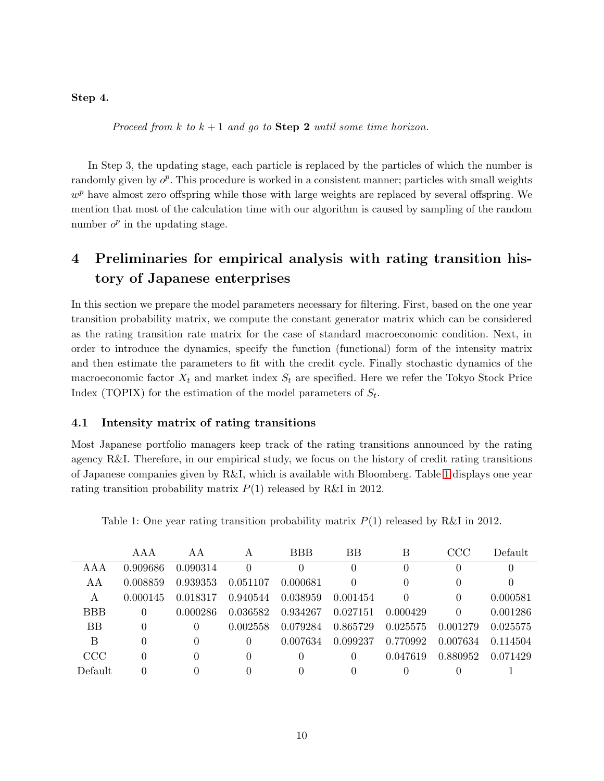### **Step 4.**

*Proceed from k to k* + 1 *and go to* **Step 2** *until some time horizon.*

In Step 3, the updating stage, each particle is replaced by the particles of which the number is randomly given by  $o^p$ . This procedure is worked in a consistent manner; particles with small weights  $w<sup>p</sup>$  have almost zero offspring while those with large weights are replaced by several offspring. We mention that most of the calculation time with our algorithm is caused by sampling of the random number  $o^p$  in the updating stage.

# **4 Preliminaries for empirical analysis with rating transition history of Japanese enterprises**

In this section we prepare the model parameters necessary for filtering. First, based on the one year transition probability matrix, we compute the constant generator matrix which can be considered as the rating transition rate matrix for the case of standard macroeconomic condition. Next, in order to introduce the dynamics, specify the function (functional) form of the intensity matrix and then estimate the parameters to fit with the credit cycle. Finally stochastic dynamics of the macroeconomic factor  $X_t$  and market index  $S_t$  are specified. Here we refer the Tokyo Stock Price Index (TOPIX) for the estimation of the model parameters of  $S_t$ .

### **4.1 Intensity matrix of rating transitions**

Most Japanese portfolio managers keep track of the rating transitions announced by the rating agency R&I. Therefore, in our empirical study, we focus on the history of credit rating transitions of Japanese companies given by R&I, which is available with Bloomberg. Table [1](#page-10-0) displays one year rating transition probability matrix *P*(1) released by R&I in 2012.

|            | AΑA      |          | А        | <b>BBB</b> | <b>BB</b> | В        | $\rm{CCC}$       | Default  |
|------------|----------|----------|----------|------------|-----------|----------|------------------|----------|
| AAA        | 0.909686 | 0.090314 | $\Omega$ |            |           |          | 0                |          |
| ΑA         | 0.008859 | 0.939353 | 0.051107 | 0.000681   | 0         |          | $\left( \right)$ |          |
| A          | 0.000145 | 0.018317 | 0.940544 | 0.038959   | 0.001454  | 0        | 0                | 0.000581 |
| <b>BBB</b> |          | 0.000286 | 0.036582 | 0.934267   | 0.027151  | 0.000429 | 0                | 0.001286 |
| <b>BB</b>  | $\Omega$ | 0        | 0.002558 | 0.079284   | 0.865729  | 0.025575 | 0.001279         | 0.025575 |
| Β          |          | 0        | 0        | 0.007634   | 0.099237  | 0.770992 | 0.007634         | 0.114504 |
| CCC        |          | 0        | 0        |            | $\Omega$  | 0.047619 | 0.880952         | 0.071429 |
| Default    |          |          |          |            |           |          |                  |          |

<span id="page-10-0"></span>Table 1: One year rating transition probability matrix *P*(1) released by R&I in 2012.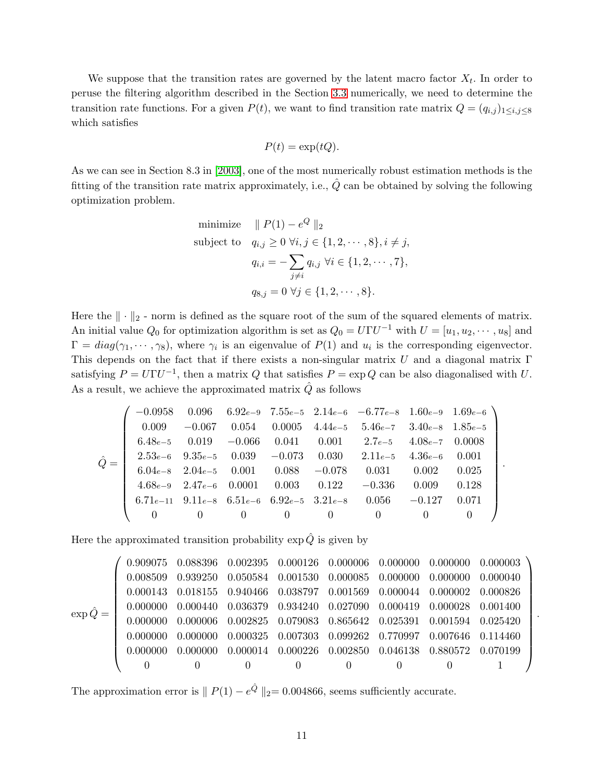We suppose that the transition rates are governed by the latent macro factor  $X_t$ . In order to peruse the filtering algorithm described in the Section [3.3](#page-8-1) numerically, we need to determine the transition rate functions. For a given  $P(t)$ , we want to find transition rate matrix  $Q = (q_{i,j})_{1 \leq i,j \leq 8}$ which satisfies

$$
P(t) = \exp(tQ).
$$

As we can see in Section 8.3 in [\[2003\]](#page-26-4), one of the most numerically robust estimation methods is the fitting of the transition rate matrix approximately, i.e.,  $\hat{Q}$  can be obtained by solving the following optimization problem.

minimize 
$$
||P(1) - e^{Q}||_2
$$
  
\nsubject to  $q_{i,j} \ge 0 \forall i, j \in \{1, 2, \dots, 8\}, i \ne j$ ,  
\n $q_{i,i} = -\sum_{j \ne i} q_{i,j} \forall i \in \{1, 2, \dots, 7\}$ ,  
\n $q_{8,j} = 0 \forall j \in \{1, 2, \dots, 8\}.$ 

Here the  $\|\cdot\|_2$  - norm is defined as the square root of the sum of the squared elements of matrix. An initial value  $Q_0$  for optimization algorithm is set as  $Q_0 = U\Gamma U^{-1}$  with  $U = [u_1, u_2, \cdots, u_8]$  and  $\Gamma = diag(\gamma_1, \dots, \gamma_8)$ , where  $\gamma_i$  is an eigenvalue of  $P(1)$  and  $u_i$  is the corresponding eigenvector. This depends on the fact that if there exists a non-singular matrix *U* and a diagonal matrix Γ satisfying  $P = U\Gamma U^{-1}$ , then a matrix *Q* that satisfies  $P = \exp Q$  can be also diagonalised with *U*. As a result, we achieve the approximated matrix  $\hat{Q}$  as follows

$$
\hat{Q} = \begin{pmatrix}\n-0.0958 & 0.096 & 6.92e-9 & 7.55e-5 & 2.14e-6 & -6.77e-8 & 1.60e-9 & 1.69e-6 \\
0.009 & -0.067 & 0.054 & 0.0005 & 4.44e-5 & 5.46e-7 & 3.40e-8 & 1.85e-5 \\
6.48e-5 & 0.019 & -0.066 & 0.041 & 0.001 & 2.7e-5 & 4.08e-7 & 0.0008 \\
2.53e-6 & 9.35e-5 & 0.039 & -0.073 & 0.030 & 2.11e-5 & 4.36e-6 & 0.001 \\
6.04e-8 & 2.04e-5 & 0.001 & 0.088 & -0.078 & 0.031 & 0.002 & 0.025 \\
4.68e-9 & 2.47e-6 & 0.0001 & 0.003 & 0.122 & -0.336 & 0.009 & 0.128 \\
6.71e-11 & 9.11e-8 & 6.51e-6 & 6.92e-5 & 3.21e-8 & 0.056 & -0.127 & 0.071 \\
0 & 0 & 0 & 0 & 0 & 0 & 0 & 0\n\end{pmatrix}
$$

*.*

*.*

Here the approximated transition probability  $\exp \hat{Q}$  is given by

$$
\exp\hat{Q} = \left(\begin{array}{cccccccc} 0.909075 & 0.088396 & 0.002395 & 0.000126 & 0.000006 & 0.000000 & 0.000000 & 0.000003 \\ 0.008509 & 0.939250 & 0.050584 & 0.001530 & 0.000085 & 0.000000 & 0.000000 & 0.000040 \\ 0.000143 & 0.018155 & 0.940466 & 0.038797 & 0.001569 & 0.000044 & 0.000002 & 0.000826 \\ 0.000000 & 0.000440 & 0.036379 & 0.934240 & 0.027090 & 0.000419 & 0.000028 & 0.001400 \\ 0.000000 & 0.000006 & 0.002825 & 0.079083 & 0.865642 & 0.025391 & 0.001594 & 0.025420 \\ 0.000000 & 0.000000 & 0.000325 & 0.007303 & 0.099262 & 0.770997 & 0.007646 & 0.114460 \\ 0.000000 & 0.000000 & 0.000014 & 0.000226 & 0.002850 & 0.046138 & 0.880572 & 0.070199 \\ 0 & 0 & 0 & 0 & 0 & 0 & 1 \end{array}\right)
$$

The approximation error is  $||P(1) - e^{\hat{Q}}||_2 = 0.004866$ , seems sufficiently accurate.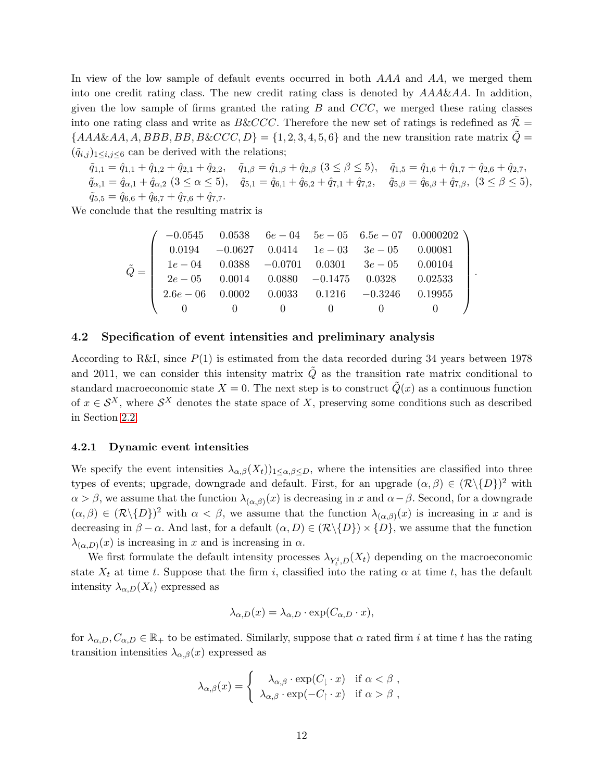In view of the low sample of default events occurred in both *AAA* and *AA*, we merged them into one credit rating class. The new credit rating class is denoted by *AAA*&*AA*. In addition, given the low sample of firms granted the rating *B* and *CCC*, we merged these rating classes into one rating class and write as *B&CCC*. Therefore the new set of ratings is redefined as  $\mathcal{R}$  =  ${AAA\&AA, A, BBB, BB, B\&CCC, D} = {1, 2, 3, 4, 5, 6}$  and the new transition rate matrix  $\tilde{Q}$  =  $(\tilde{q}_{i,j})_{1 \leq i,j \leq 6}$  can be derived with the relations;

 $\tilde{q}_{1,1} = \hat{q}_{1,1} + \hat{q}_{1,2} + \hat{q}_{2,1} + \hat{q}_{2,2}, \quad \tilde{q}_{1,\beta} = \hat{q}_{1,\beta} + \hat{q}_{2,\beta} \ (3 \leq \beta \leq 5), \quad \tilde{q}_{1,5} = \hat{q}_{1,6} + \hat{q}_{1,7} + \hat{q}_{2,6} + \hat{q}_{2,7},$  $\tilde{q}_{\alpha,1} = \hat{q}_{\alpha,1} + \hat{q}_{\alpha,2}$   $(3 \leq \alpha \leq 5),$   $\tilde{q}_{5,1} = \hat{q}_{6,1} + \hat{q}_{6,2} + \hat{q}_{7,1} + \hat{q}_{7,2},$   $\tilde{q}_{5,\beta} = \hat{q}_{6,\beta} + \hat{q}_{7,\beta},$   $(3 \leq \beta \leq 5),$  $\tilde{q}_{5,5} = \hat{q}_{6,6} + \hat{q}_{6,7} + \hat{q}_{7,6} + \hat{q}_{7,7}$ 

We conclude that the resulting matrix is

|             |  |                                                                          | $-0.0545$ 0.0538 $6e - 04$ $5e - 05$ $6.5e - 07$ 0.0000202 |  |
|-------------|--|--------------------------------------------------------------------------|------------------------------------------------------------|--|
| 0.0194      |  | $-0.0627$ 0.0414 1e - 03 3e - 05 0.00081                                 |                                                            |  |
|             |  | $1e-04$ 0.0388 -0.0701 0.0301 $3e-05$ 0.00104                            |                                                            |  |
| $2e - 05$   |  | $0.0014 \qquad 0.0880 \qquad -0.1475 \qquad 0.0328 \qquad \quad 0.02533$ |                                                            |  |
| $2.6e - 06$ |  | $0.0002$ $0.0033$ $0.1216$ $-0.3246$ $0.19955$                           |                                                            |  |
|             |  |                                                                          |                                                            |  |

*.*

### **4.2 Specification of event intensities and preliminary analysis**

According to R&I, since *P*(1) is estimated from the data recorded during 34 years between 1978 and 2011, we can consider this intensity matrix  $\ddot{Q}$  as the transition rate matrix conditional to standard macroeconomic state  $X = 0$ . The next step is to construct  $\tilde{Q}(x)$  as a continuous function of  $x \in S^X$ , where  $S^X$  denotes the state space of X, preserving some conditions such as described in Section [2.2.](#page-4-4)

#### **4.2.1 Dynamic event intensities**

We specify the event intensities  $\lambda_{\alpha,\beta}(X_t)$ <sub>1</sub> $\langle \alpha,\beta \langle \mathcal{L} \rangle$ , where the intensities are classified into three types of events; upgrade, downgrade and default. First, for an upgrade  $(\alpha, \beta) \in (\mathcal{R}\backslash\{D\})^2$  with  $\alpha > \beta$ , we assume that the function  $\lambda_{(\alpha,\beta)}(x)$  is decreasing in *x* and  $\alpha - \beta$ . Second, for a downgrade  $(\alpha, \beta) \in (\mathcal{R}\setminus\{D\})^2$  with  $\alpha < \beta$ , we assume that the function  $\lambda_{(\alpha, \beta)}(x)$  is increasing in *x* and is decreasing in  $\beta - \alpha$ . And last, for a default  $(\alpha, D) \in (\mathcal{R} \setminus \{D\}) \times \{D\}$ , we assume that the function  $\lambda_{(\alpha,D)}(x)$  is increasing in *x* and is increasing in  $\alpha$ .

We first formulate the default intensity processes  $\lambda_{Y_t^i,D}(X_t)$  depending on the macroeconomic state  $X_t$  at time *t*. Suppose that the firm *i*, classified into the rating  $\alpha$  at time *t*, has the default intensity  $\lambda_{\alpha,D}(X_t)$  expressed as

$$
\lambda_{\alpha,D}(x) = \lambda_{\alpha,D} \cdot \exp(C_{\alpha,D} \cdot x),
$$

for  $\lambda_{\alpha,D}, C_{\alpha,D} \in \mathbb{R}_+$  to be estimated. Similarly, suppose that  $\alpha$  rated firm *i* at time *t* has the rating transition intensities  $\lambda_{\alpha,\beta}(x)$  expressed as

$$
\lambda_{\alpha,\beta}(x) = \begin{cases} \lambda_{\alpha,\beta} \cdot \exp(C_{\vert} \cdot x) & \text{if } \alpha < \beta ,\\ \lambda_{\alpha,\beta} \cdot \exp(-C_{\vert} \cdot x) & \text{if } \alpha > \beta , \end{cases}
$$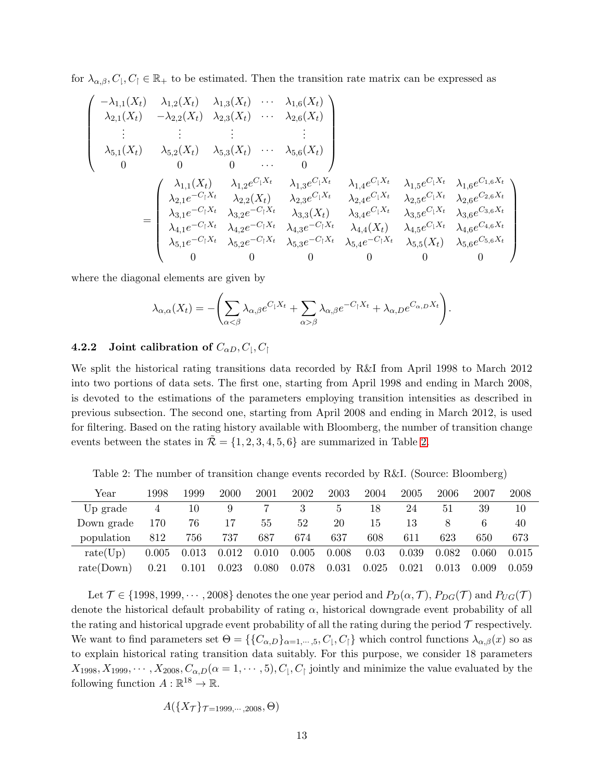for  $\lambda_{\alpha,\beta}, C_1, C_1 \in \mathbb{R}_+$  to be estimated. Then the transition rate matrix can be expressed as

$$
\begin{pmatrix}\n-\lambda_{1,1}(X_t) & \lambda_{1,2}(X_t) & \lambda_{1,3}(X_t) & \cdots & \lambda_{1,6}(X_t) \\
\lambda_{2,1}(X_t) & -\lambda_{2,2}(X_t) & \lambda_{2,3}(X_t) & \cdots & \lambda_{2,6}(X_t) \\
\vdots & \vdots & \vdots & \vdots \\
\lambda_{5,1}(X_t) & \lambda_{5,2}(X_t) & \lambda_{5,3}(X_t) & \cdots & \lambda_{5,6}(X_t) \\
0 & 0 & 0 & \cdots & 0\n\end{pmatrix}
$$
\n
$$
= \begin{pmatrix}\n\lambda_{1,1}(X_t) & \lambda_{1,2}e^{C_1X_t} & \lambda_{1,3}e^{C_1X_t} & \lambda_{1,4}e^{C_1X_t} & \lambda_{1,5}e^{C_1X_t} & \lambda_{1,6}e^{C_1,6X_t} \\
\lambda_{2,1}e^{-C_1X_t} & \lambda_{2,2}(X_t) & \lambda_{2,3}e^{C_1X_t} & \lambda_{2,4}e^{C_1X_t} & \lambda_{2,5}e^{C_1X_t} & \lambda_{2,6}e^{C_2,6X_t} \\
\lambda_{3,1}e^{-C_1X_t} & \lambda_{3,2}e^{-C_1X_t} & \lambda_{3,3}(X_t) & \lambda_{3,4}e^{C_1X_t} & \lambda_{3,5}e^{C_1X_t} & \lambda_{3,6}e^{C_3,6X_t} \\
\lambda_{4,1}e^{-C_1X_t} & \lambda_{4,2}e^{-C_1X_t} & \lambda_{4,3}e^{-C_1X_t} & \lambda_{4,4}(X_t) & \lambda_{4,5}e^{C_1X_t} & \lambda_{4,6}e^{C_4,6X_t} \\
\lambda_{5,1}e^{-C_1X_t} & \lambda_{5,2}e^{-C_1X_t} & \lambda_{5,3}e^{-C_1X_t} & \lambda_{5,4}e^{-C_1X_t} & \lambda_{5,5}(X_t) & \lambda_{5,6}e^{C_5,6X_t} \\
0 & 0 & 0 & 0 & 0\n\end{pmatrix}
$$

where the diagonal elements are given by

$$
\lambda_{\alpha,\alpha}(X_t) = -\left(\sum_{\alpha < \beta} \lambda_{\alpha,\beta} e^{C_1 X_t} + \sum_{\alpha > \beta} \lambda_{\alpha,\beta} e^{-C_1 X_t} + \lambda_{\alpha,D} e^{C_{\alpha,D} X_t}\right).
$$

# **4.2.2** Joint calibration of  $C_{\alpha D}, C_\parallel, C_\parallel$

We split the historical rating transitions data recorded by R&I from April 1998 to March 2012 into two portions of data sets. The first one, starting from April 1998 and ending in March 2008, is devoted to the estimations of the parameters employing transition intensities as described in previous subsection. The second one, starting from April 2008 and ending in March 2012, is used for filtering. Based on the rating history available with Bloomberg, the number of transition change events between the states in  $\mathcal{R} = \{1, 2, 3, 4, 5, 6\}$  are summarized in Table [2.](#page-13-0)

<span id="page-13-0"></span>Table 2: The number of transition change events recorded by R&I. (Source: Bloomberg)

| $\operatorname{Year}$ | 1998  | 1999  | 2000  | 2001  | 2002  | 2003  | 2004  | 2005  | 2006        | 2007  | 2008  |
|-----------------------|-------|-------|-------|-------|-------|-------|-------|-------|-------------|-------|-------|
| Up grade              | 4     | 10    | 9     |       |       |       | 18    | 24    | 51          | 39    | 10    |
| Down grade            | 170   | 76    | 17    | 55    | 52    | 20    | 15    |       |             | 6     | 40    |
| population            | 812   | 756   | 737   | 687   | 674   | 637   | 608   | 611   | 623         | 650   | 673   |
| rate(Up)              | 0.005 | 0.013 | 0.012 | 0.010 | 0.005 | 0.008 | 0.03  | 0.039 | 0.082       | 0.060 | 0.015 |
| rate(Down)            | 0.21  | 0.101 | 0.023 | 0.080 | 0.078 | 0.031 | 0.025 | 0.021 | $\rm 0.013$ | 0.009 | 0.059 |

Let  $\mathcal{T} \in \{1998, 1999, \cdots, 2008\}$  denotes the one year period and  $P_D(\alpha, \mathcal{T}), P_{DG}(\mathcal{T})$  and  $P_{UG}(\mathcal{T})$ denote the historical default probability of rating *α*, historical downgrade event probability of all the rating and historical upgrade event probability of all the rating during the period  $\mathcal T$  respectively. We want to find parameters set  $\Theta = \{ \{C_{\alpha,D}\}_{\alpha=1,\dots,5}, C_\downarrow, C_\uparrow \}$  which control functions  $\lambda_{\alpha,\beta}(x)$  so as to explain historical rating transition data suitably. For this purpose, we consider 18 parameters  $X_{1998}, X_{1999}, \cdots, X_{2008}, C_{\alpha,D}(\alpha=1,\cdots,5), C_{\downarrow}, C_{\uparrow}$  jointly and minimize the value evaluated by the following function  $A : \mathbb{R}^{18} \to \mathbb{R}$ .

$$
A(\lbrace X_{\mathcal{T}} \rbrace_{\mathcal{T}=1999,\cdots,2008},\Theta)
$$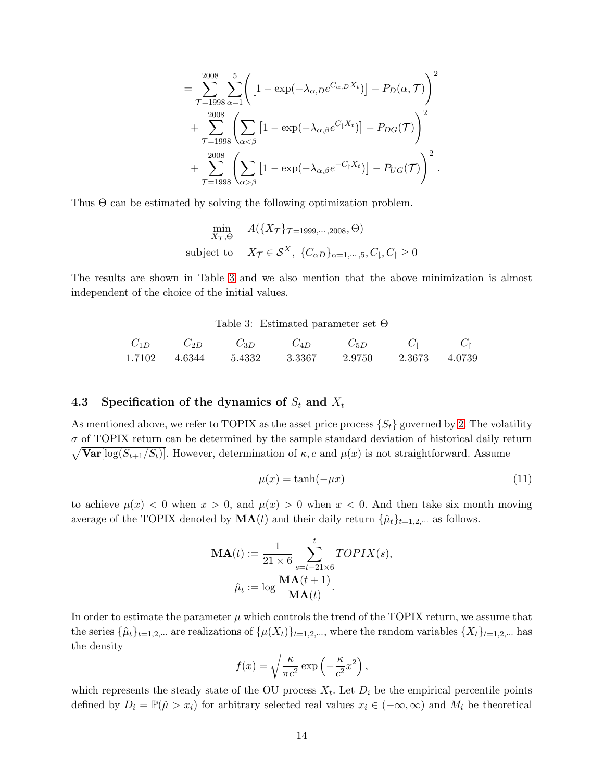$$
= \sum_{\mathcal{T}=1998}^{2008} \sum_{\alpha=1}^{5} \left( \left[ 1 - \exp(-\lambda_{\alpha,D} e^{C_{\alpha,D}X_t}) \right] - P_D(\alpha, \mathcal{T}) \right)^2
$$
  
+ 
$$
\sum_{\mathcal{T}=1998}^{2008} \left( \sum_{\alpha < \beta} \left[ 1 - \exp(-\lambda_{\alpha,\beta} e^{C_{\mathfrak{l}}X_t}) \right] - P_{DG}(\mathcal{T}) \right)^2
$$
  
+ 
$$
\sum_{\mathcal{T}=1998}^{2008} \left( \sum_{\alpha > \beta} \left[ 1 - \exp(-\lambda_{\alpha,\beta} e^{-C_{\mathfrak{l}}X_t}) \right] - P_{UG}(\mathcal{T}) \right)^2.
$$

Thus Θ can be estimated by solving the following optimization problem.

$$
\min_{X_{\mathcal{T}}, \Theta} \quad A(\{X_{\mathcal{T}}\}_{\mathcal{T}=1999,\cdots,2008}, \Theta)
$$
\n
$$
\text{subject to} \quad X_{\mathcal{T}} \in \mathcal{S}^X, \ \{C_{\alpha D}\}_{\alpha=1,\cdots,5}, C_{\downarrow}, C_{\uparrow} \ge 0
$$

The results are shown in Table [3](#page-14-0) and we also mention that the above minimization is almost independent of the choice of the initial values.

<span id="page-14-0"></span>Table 3: Estimated parameter set Θ

$$
\begin{array}{ccccccccc} & C_{1D} & & C_{2D} & & C_{3D} & & C_{4D} & & C_{5D} & & C_{\lfloor} & & C_{\lceil} \\ \hline 1.7102 & & 4.6344 & & 5.4332 & & 3.3367 & & 2.9750 & & 2.3673 & & 4.0739 \end{array}
$$

# **4.3** Specification of the dynamics of  $S_t$  and  $X_t$

As mentioned above, we refer to TOPIX as the asset price process  $\{S_t\}$  governed by [2.](#page-5-0) The volatility  $\sigma$  of TOPIX return can be determined by the sample standard deviation of historical daily return  $\sqrt{\text{Var}[\log(S_{t+1}/S_t)]}$ . However, determination of  $\kappa$ , c and  $\mu(x)$  is not straightforward. Assume

<span id="page-14-1"></span>
$$
\mu(x) = \tanh(-\mu x) \tag{11}
$$

to achieve  $\mu(x) < 0$  when  $x > 0$ , and  $\mu(x) > 0$  when  $x < 0$ . And then take six month moving average of the TOPIX denoted by  $\mathbf{MA}(t)$  and their daily return  $\{\hat{\mu}_t\}_{t=1,2,\cdots}$  as follows.

$$
\mathbf{MA}(t) := \frac{1}{21 \times 6} \sum_{s=t-21 \times 6}^{t} TOPIX(s),
$$

$$
\hat{\mu}_t := \log \frac{\mathbf{MA}(t+1)}{\mathbf{MA}(t)}.
$$

In order to estimate the parameter  $\mu$  which controls the trend of the TOPIX return, we assume that the series  $\{\hat{\mu}_t\}_{t=1,2,\cdots}$  are realizations of  $\{\mu(X_t)\}_{t=1,2,\cdots}$ , where the random variables  $\{X_t\}_{t=1,2,\cdots}$  has the density

$$
f(x) = \sqrt{\frac{\kappa}{\pi c^2}} \exp\left(-\frac{\kappa}{c^2}x^2\right),\,
$$

which represents the steady state of the OU process  $X_t$ . Let  $D_i$  be the empirical percentile points defined by  $D_i = \mathbb{P}(\hat{\mu} > x_i)$  for arbitrary selected real values  $x_i \in (-\infty, \infty)$  and  $M_i$  be theoretical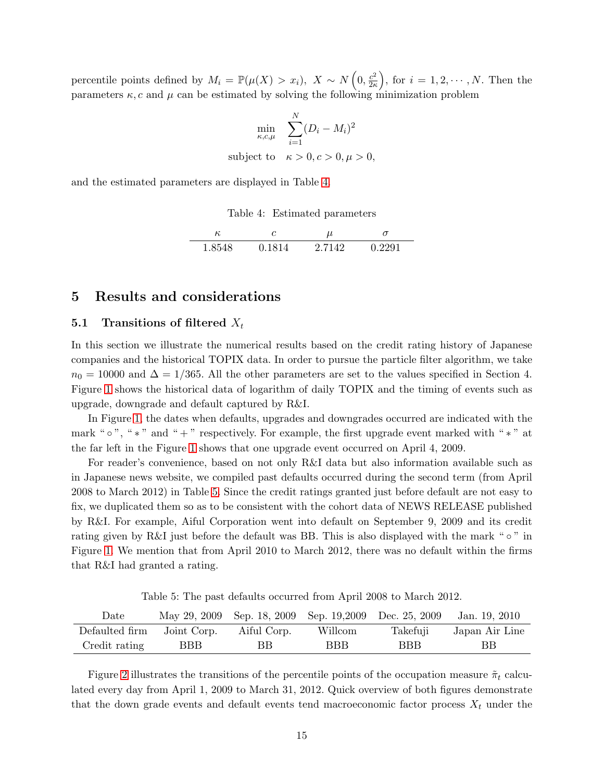percentile points defined by  $M_i = \mathbb{P}(\mu(X) > x_i), X \sim N\left(0, \frac{c^2}{2\kappa}\right)$  $\left(\frac{c^2}{2\kappa}\right)$ , for  $i=1,2,\cdots,N$ . Then the parameters  $\kappa$ , c and  $\mu$  can be estimated by solving the following minimization problem

$$
\min_{\kappa,c,\mu} \quad \sum_{i=1}^{N} (D_i - M_i)^2
$$
\n
$$
\text{subject to} \quad \kappa > 0, c > 0, \mu > 0,
$$

and the estimated parameters are displayed in Table [4.](#page-15-0)

<span id="page-15-0"></span>

|  |  | Table 4: Estimated parameters |
|--|--|-------------------------------|
|--|--|-------------------------------|

| 1.8548 | 0.1814 | 2.7142 | 0.2291 |
|--------|--------|--------|--------|

### **5 Results and considerations**

### **5.1 Transitions of filtered** *X<sup>t</sup>*

In this section we illustrate the numerical results based on the credit rating history of Japanese companies and the historical TOPIX data. In order to pursue the particle filter algorithm, we take  $n_0 = 10000$  and  $\Delta = 1/365$ . All the other parameters are set to the values specified in Section 4. Figure [1](#page-16-0) shows the historical data of logarithm of daily TOPIX and the timing of events such as upgrade, downgrade and default captured by R&I.

In Figure [1,](#page-16-0) the dates when defaults, upgrades and downgrades occurred are indicated with the mark "  $\circ$  ", " \* " and " + " respectively. For example, the first upgrade event marked with " \* " at the far left in the Figure [1](#page-16-0) shows that one upgrade event occurred on April 4, 2009.

For reader's convenience, based on not only R&I data but also information available such as in Japanese news website, we compiled past defaults occurred during the second term (from April 2008 to March 2012) in Table [5.](#page-15-1) Since the credit ratings granted just before default are not easy to fix, we duplicated them so as to be consistent with the cohort data of NEWS RELEASE published by R&I. For example, Aiful Corporation went into default on September 9, 2009 and its credit rating given by R&I just before the default was BB. This is also displayed with the mark " *◦* " in Figure [1.](#page-16-0) We mention that from April 2010 to March 2012, there was no default within the firms that R&I had granted a rating.

<span id="page-15-1"></span>Table 5: The past defaults occurred from April 2008 to March 2012.

| $\rm{Date}$    |             | May 29, 2009 Sep. 18, 2009 Sep. 19, 2009 Dec. 25, 2009 |            |            | Jan. 19, 2010  |
|----------------|-------------|--------------------------------------------------------|------------|------------|----------------|
| Defaulted firm | Joint Corp. | Aiful Corp.                                            | Willcom    | Takefuji   | Japan Air Line |
| Credit rating  | BBB.        | BB.                                                    | <b>BBB</b> | <b>BBB</b> | ВB             |

Figure [2](#page-17-0) illustrates the transitions of the percentile points of the occupation measure  $\tilde{\pi}_t$  calculated every day from April 1, 2009 to March 31, 2012. Quick overview of both figures demonstrate that the down grade events and default events tend macroeconomic factor process  $X_t$  under the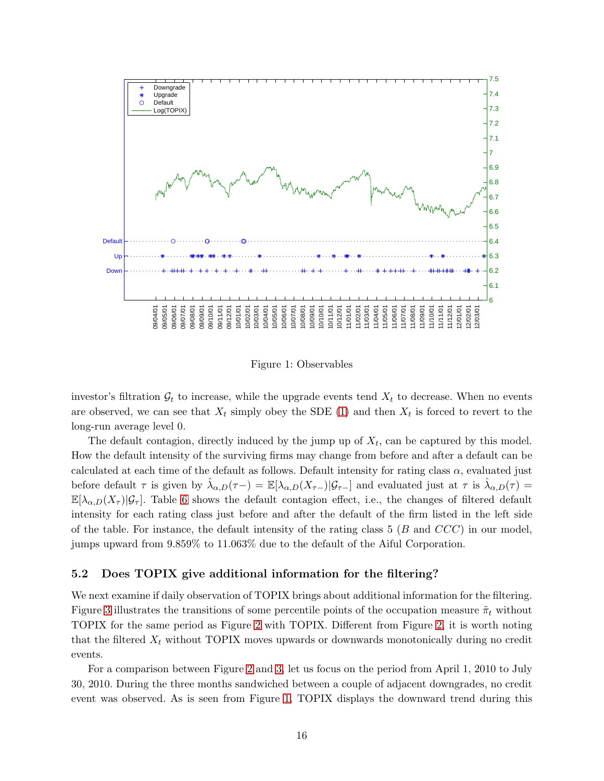

<span id="page-16-0"></span>Figure 1: Observables

investor's filtration  $\mathcal{G}_t$  to increase, while the upgrade events tend  $X_t$  to decrease. When no events are observed, we can see that  $X_t$  simply obey the SDE [\(1\)](#page-4-3) and then  $X_t$  is forced to revert to the long-run average level 0.

The default contagion, directly induced by the jump up of  $X_t$ , can be captured by this model. How the default intensity of the surviving firms may change from before and after a default can be calculated at each time of the default as follows. Default intensity for rating class  $\alpha$ , evaluated just before default  $\tau$  is given by  $\hat{\lambda}_{\alpha,D}(\tau-) = \mathbb{E}[\lambda_{\alpha,D}(X_{\tau-})|\mathcal{G}_{\tau-}]$  and evaluated just at  $\tau$  is  $\hat{\lambda}_{\alpha,D}(\tau) =$  $\mathbb{E}[\lambda_{\alpha,D}(X_{\tau})|\mathcal{G}_{\tau}]$ . Table [6](#page-17-1) shows the default contagion effect, i.e., the changes of filtered default intensity for each rating class just before and after the default of the firm listed in the left side of the table. For instance, the default intensity of the rating class 5 (*B* and *CCC*) in our model, jumps upward from 9*.*859% to 11*.*063% due to the default of the Aiful Corporation.

### **5.2 Does TOPIX give additional information for the filtering?**

We next examine if daily observation of TOPIX brings about additional information for the filtering. Figure [3](#page-18-0) illustrates the transitions of some percentile points of the occupation measure  $\tilde{\pi}_t$  without TOPIX for the same period as Figure [2](#page-17-0) with TOPIX. Different from Figure [2,](#page-17-0) it is worth noting that the filtered  $X_t$  without TOPIX moves upwards or downwards monotonically during no credit events.

For a comparison between Figure [2](#page-17-0) and [3,](#page-18-0) let us focus on the period from April 1, 2010 to July 30, 2010. During the three months sandwiched between a couple of adjacent downgrades, no credit event was observed. As is seen from Figure [1,](#page-16-0) TOPIX displays the downward trend during this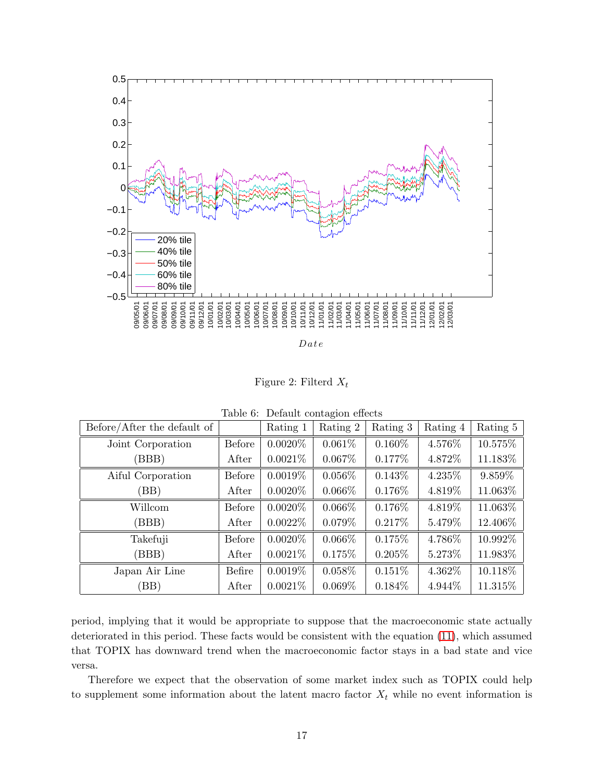

<span id="page-17-0"></span> $Date$ 

<span id="page-17-1"></span>Figure 2: Filterd *X<sup>t</sup>*

| Before/After the default of |               | Rating 1   | Rating 2  | Rating 3  | Rating 4 | Rating 5 |
|-----------------------------|---------------|------------|-----------|-----------|----------|----------|
| Joint Corporation           | <b>Before</b> | $0.0020\%$ | $0.061\%$ | $0.160\%$ | 4.576%   | 10.575%  |
| (BBB)                       | After         | $0.0021\%$ | 0.067%    | 0.177%    | 4.872\%  | 11.183%  |
| Aiful Corporation           | <b>Before</b> | $0.0019\%$ | $0.056\%$ | $0.143\%$ | 4.235\%  | 9.859%   |
| (BB)                        | After         | $0.0020\%$ | $0.066\%$ | 0.176\%   | 4.819%   | 11.063%  |
| Willcom                     | <b>Before</b> | $0.0020\%$ | $0.066\%$ | $0.176\%$ | 4.819\%  | 11.063%  |
| (BBB)                       | After         | $0.0022\%$ | 0.079%    | 0.217\%   | 5.479%   | 12.406\% |
| Takefuji                    | <b>Before</b> | $0.0020\%$ | $0.066\%$ | $0.175\%$ | 4.786\%  | 10.992%  |
| (BBB)                       | After         | $0.0021\%$ | 0.175%    | $0.205\%$ | 5.273%   | 11.983%  |
| Japan Air Line              | Befire        | $0.0019\%$ | $0.058\%$ | $0.151\%$ | 4.362\%  | 10.118%  |
| (BB)                        | After         | $0.0021\%$ | 0.069%    | $0.184\%$ | 4.944\%  | 11.315%  |

Table 6: Default contagion effects

period, implying that it would be appropriate to suppose that the macroeconomic state actually deteriorated in this period. These facts would be consistent with the equation [\(11\)](#page-14-1), which assumed that TOPIX has downward trend when the macroeconomic factor stays in a bad state and vice versa.

Therefore we expect that the observation of some market index such as TOPIX could help to supplement some information about the latent macro factor  $X_t$  while no event information is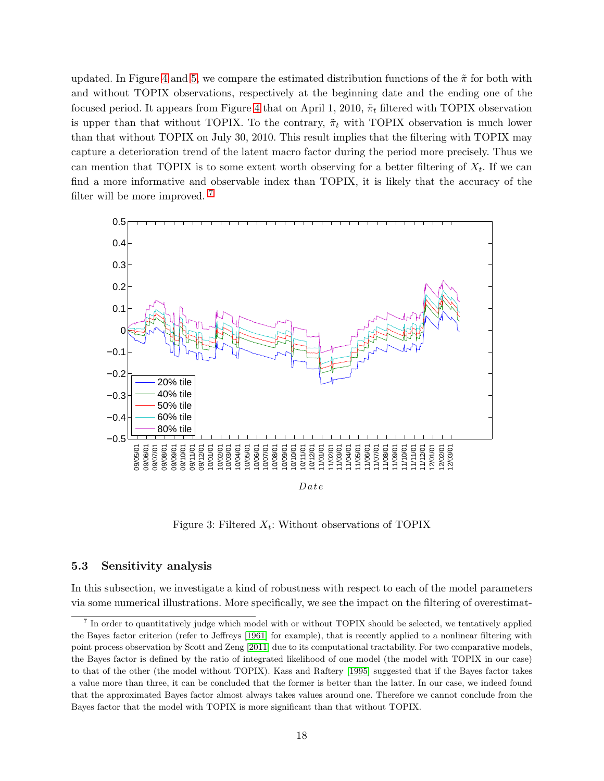updated. In Figure [4](#page-19-0) and [5,](#page-19-1) we compare the estimated distribution functions of the ˜*π* for both with and without TOPIX observations, respectively at the beginning date and the ending one of the focused period. It appears from Figure [4](#page-19-0) that on April 1, 2010, ˜*π<sup>t</sup>* filtered with TOPIX observation is upper than that without TOPIX. To the contrary,  $\tilde{\pi}_t$  with TOPIX observation is much lower than that without TOPIX on July 30, 2010. This result implies that the filtering with TOPIX may capture a deterioration trend of the latent macro factor during the period more precisely. Thus we can mention that TOPIX is to some extent worth observing for a better filtering of  $X_t$ . If we can find a more informative and observable index than TOPIX, it is likely that the accuracy of the filter will be more improved. [7](#page-18-1)



<span id="page-18-0"></span>Figure 3: Filtered *X<sup>t</sup>* : Without observations of TOPIX

## **5.3 Sensitivity analysis**

In this subsection, we investigate a kind of robustness with respect to each of the model parameters via some numerical illustrations. More specifically, we see the impact on the filtering of overestimat-

<span id="page-18-1"></span><sup>&</sup>lt;sup>7</sup> In order to quantitatively judge which model with or without TOPIX should be selected, we tentatively applied the Bayes factor criterion (refer to Jeffreys [\[1961\]](#page-25-9) for example), that is recently applied to a nonlinear filtering with point process observation by Scott and Zeng [\[2011\]](#page-26-5) due to its computational tractability. For two comparative models, the Bayes factor is defined by the ratio of integrated likelihood of one model (the model with TOPIX in our case) to that of the other (the model without TOPIX). Kass and Raftery [\[1995\]](#page-25-10) suggested that if the Bayes factor takes a value more than three, it can be concluded that the former is better than the latter. In our case, we indeed found that the approximated Bayes factor almost always takes values around one. Therefore we cannot conclude from the Bayes factor that the model with TOPIX is more significant than that without TOPIX.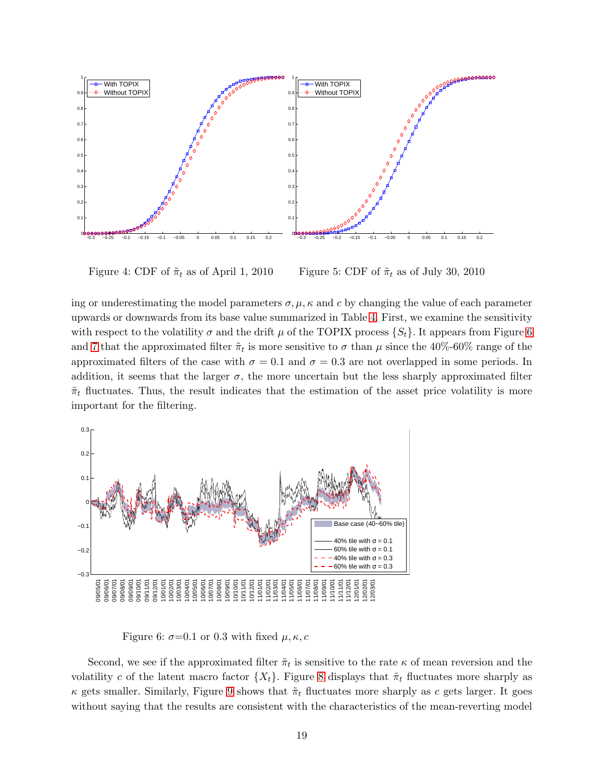

<span id="page-19-0"></span>Figure 4: CDF of  $\tilde{\pi}_t$  as of April 1, 2010

<span id="page-19-1"></span>Figure 5: CDF of  $\tilde{\pi}_t$  as of July 30, 2010

ing or underestimating the model parameters  $\sigma, \mu, \kappa$  and  $c$  by changing the value of each parameter upwards or downwards from its base value summarized in Table [4.](#page-15-0) First, we examine the sensitivity with respect to the volatility  $\sigma$  and the drift  $\mu$  of the TOPIX process  $\{S_t\}$ . It appears from Figure [6](#page-19-2) and [7](#page-20-0) that the approximated filter  $\tilde{\pi}_t$  is more sensitive to  $\sigma$  than  $\mu$  since the 40%-60% range of the approximated filters of the case with  $\sigma = 0.1$  and  $\sigma = 0.3$  are not overlapped in some periods. In addition, it seems that the larger  $\sigma$ , the more uncertain but the less sharply approximated filter  $\tilde{\pi}_t$  fluctuates. Thus, the result indicates that the estimation of the asset price volatility is more important for the filtering.



<span id="page-19-2"></span>Figure 6:  $\sigma$ =0.1 or 0.3 with fixed  $\mu, \kappa, c$ 

Second, we see if the approximated filter  $\tilde{\pi}_t$  is sensitive to the rate  $\kappa$  of mean reversion and the volatility *c* of the latent macro factor  $\{X_t\}$ . Figure [8](#page-20-1) displays that  $\tilde{\pi}_t$  fluctuates more sharply as  $\kappa$  gets smaller. Similarly, Figure [9](#page-21-0) shows that  $\tilde{\pi}_t$  fluctuates more sharply as *c* gets larger. It goes without saying that the results are consistent with the characteristics of the mean-reverting model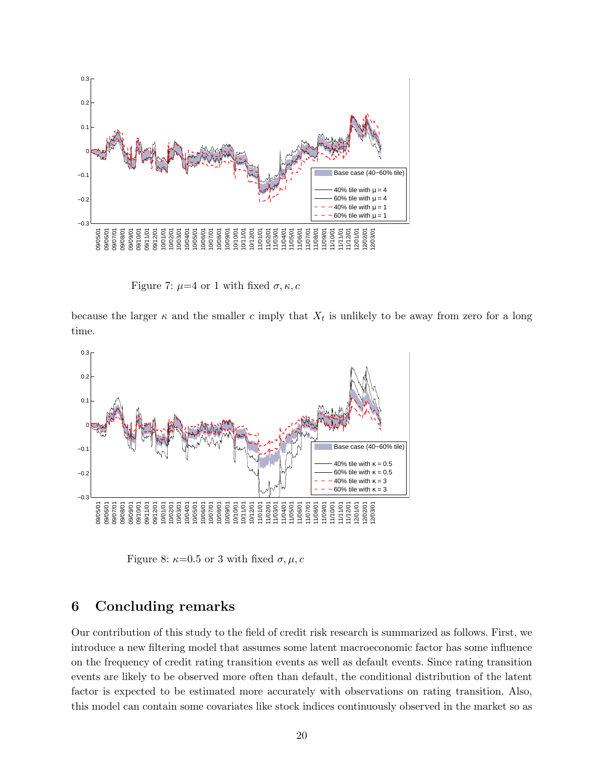

<span id="page-20-0"></span>Figure 7:  $\mu=4$  or 1 with fixed  $\sigma, \kappa, c$ 

because the larger  $\kappa$  and the smaller *c* imply that  $X_t$  is unlikely to be away from zero for a long time.



<span id="page-20-1"></span>Figure 8:  $\kappa$ =0.5 or 3 with fixed  $\sigma, \mu, c$ 

# **6 Concluding remarks**

Our contribution of this study to the field of credit risk research is summarized as follows. First, we introduce a new filtering model that assumes some latent macroeconomic factor has some influence on the frequency of credit rating transition events as well as default events. Since rating transition events are likely to be observed more often than default, the conditional distribution of the latent factor is expected to be estimated more accurately with observations on rating transition. Also, this model can contain some covariates like stock indices continuously observed in the market so as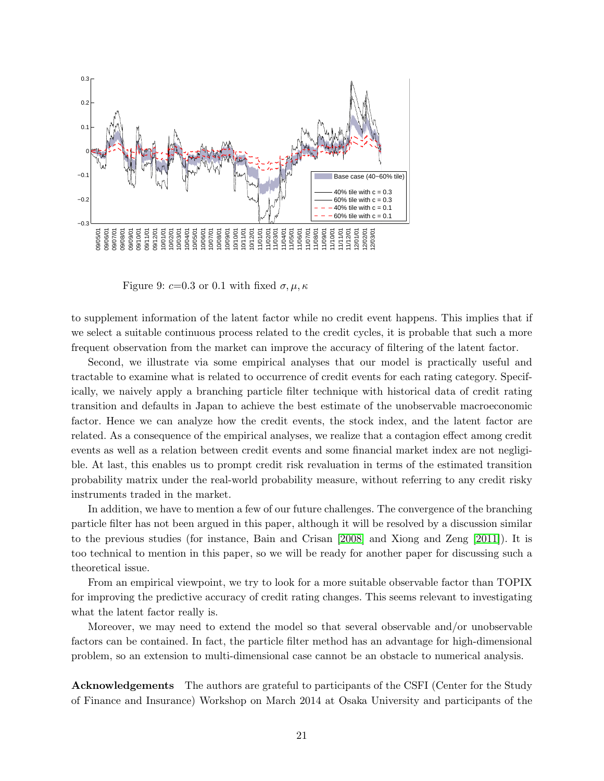

<span id="page-21-0"></span>Figure 9:  $c=0.3$  or 0.1 with fixed  $\sigma, \mu, \kappa$ 

to supplement information of the latent factor while no credit event happens. This implies that if we select a suitable continuous process related to the credit cycles, it is probable that such a more frequent observation from the market can improve the accuracy of filtering of the latent factor.

Second, we illustrate via some empirical analyses that our model is practically useful and tractable to examine what is related to occurrence of credit events for each rating category. Specifically, we naively apply a branching particle filter technique with historical data of credit rating transition and defaults in Japan to achieve the best estimate of the unobservable macroeconomic factor. Hence we can analyze how the credit events, the stock index, and the latent factor are related. As a consequence of the empirical analyses, we realize that a contagion effect among credit events as well as a relation between credit events and some financial market index are not negligible. At last, this enables us to prompt credit risk revaluation in terms of the estimated transition probability matrix under the real-world probability measure, without referring to any credit risky instruments traded in the market.

In addition, we have to mention a few of our future challenges. The convergence of the branching particle filter has not been argued in this paper, although it will be resolved by a discussion similar to the previous studies (for instance, Bain and Crisan [\[2008\]](#page-25-7) and Xiong and Zeng [\[2011\]](#page-26-6)). It is too technical to mention in this paper, so we will be ready for another paper for discussing such a theoretical issue.

From an empirical viewpoint, we try to look for a more suitable observable factor than TOPIX for improving the predictive accuracy of credit rating changes. This seems relevant to investigating what the latent factor really is.

Moreover, we may need to extend the model so that several observable and/or unobservable factors can be contained. In fact, the particle filter method has an advantage for high-dimensional problem, so an extension to multi-dimensional case cannot be an obstacle to numerical analysis.

**Acknowledgements** The authors are grateful to participants of the CSFI (Center for the Study of Finance and Insurance) Workshop on March 2014 at Osaka University and participants of the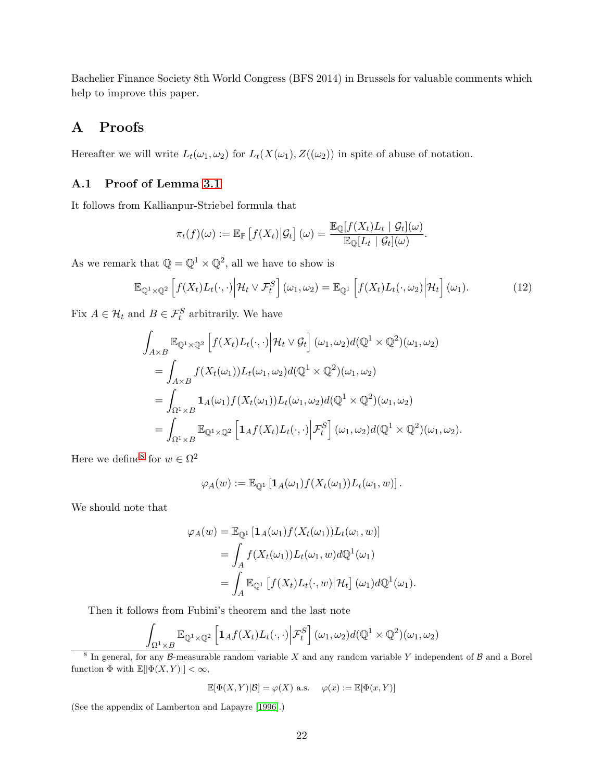Bachelier Finance Society 8th World Congress (BFS 2014) in Brussels for valuable comments which help to improve this paper.

# **A Proofs**

Hereafter we will write  $L_t(\omega_1, \omega_2)$  for  $L_t(X(\omega_1), Z((\omega_2))$  in spite of abuse of notation.

## **A.1 Proof of Lemma [3.1](#page-6-3)**

It follows from Kallianpur-Striebel formula that

$$
\pi_t(f)(\omega) := \mathbb{E}_{\mathbb{P}}\left[f(X_t)\big|\mathcal{G}_t\right](\omega) = \frac{\mathbb{E}_{\mathbb{Q}}[f(X_t)L_t \mid \mathcal{G}_t](\omega)}{\mathbb{E}_{\mathbb{Q}}[L_t \mid \mathcal{G}_t](\omega)}.
$$

As we remark that  $\mathbb{Q} = \mathbb{Q}^1 \times \mathbb{Q}^2$ , all we have to show is

<span id="page-22-1"></span>
$$
\mathbb{E}_{\mathbb{Q}^1 \times \mathbb{Q}^2} \left[ f(X_t) L_t(\cdot, \cdot) \middle| \mathcal{H}_t \vee \mathcal{F}_t^S \right] (\omega_1, \omega_2) = \mathbb{E}_{\mathbb{Q}^1} \left[ f(X_t) L_t(\cdot, \omega_2) \middle| \mathcal{H}_t \right] (\omega_1).
$$
 (12)

Fix  $A \in \mathcal{H}_t$  and  $B \in \mathcal{F}_t^S$  arbitrarily. We have

$$
\int_{A\times B} \mathbb{E}_{\mathbb{Q}^1 \times \mathbb{Q}^2} \left[ f(X_t) L_t(\cdot, \cdot) \middle| \mathcal{H}_t \vee \mathcal{G}_t \right] (\omega_1, \omega_2) d(\mathbb{Q}^1 \times \mathbb{Q}^2) (\omega_1, \omega_2)
$$
\n
$$
= \int_{A \times B} f(X_t(\omega_1)) L_t(\omega_1, \omega_2) d(\mathbb{Q}^1 \times \mathbb{Q}^2) (\omega_1, \omega_2)
$$
\n
$$
= \int_{\Omega^1 \times B} \mathbf{1}_A(\omega_1) f(X_t(\omega_1)) L_t(\omega_1, \omega_2) d(\mathbb{Q}^1 \times \mathbb{Q}^2) (\omega_1, \omega_2)
$$
\n
$$
= \int_{\Omega^1 \times B} \mathbb{E}_{\mathbb{Q}^1 \times \mathbb{Q}^2} \left[ \mathbf{1}_A f(X_t) L_t(\cdot, \cdot) \middle| \mathcal{F}_t^S \right] (\omega_1, \omega_2) d(\mathbb{Q}^1 \times \mathbb{Q}^2) (\omega_1, \omega_2).
$$

Here we define<sup>[8](#page-22-0)</sup> for  $w \in \Omega^2$ 

$$
\varphi_A(w) := \mathbb{E}_{\mathbb{Q}^1} \left[ \mathbf{1}_A(\omega_1) f(X_t(\omega_1)) L_t(\omega_1, w) \right].
$$

We should note that

$$
\varphi_A(w) = \mathbb{E}_{\mathbb{Q}^1} \left[ \mathbf{1}_A(\omega_1) f(X_t(\omega_1)) L_t(\omega_1, w) \right]
$$
  
= 
$$
\int_A f(X_t(\omega_1)) L_t(\omega_1, w) d\mathbb{Q}^1(\omega_1)
$$
  
= 
$$
\int_A \mathbb{E}_{\mathbb{Q}^1} \left[ f(X_t) L_t(\cdot, w) \middle| \mathcal{H}_t \right](\omega_1) d\mathbb{Q}^1(\omega_1).
$$

Then it follows from Fubini's theorem and the last note

$$
\int_{\Omega^1 \times B} \mathbb{E}_{\mathbb{Q}^1 \times \mathbb{Q}^2} \left[ \mathbf{1}_A f(X_t) L_t(\cdot, \cdot) \Big| \mathcal{F}_t^S \right] (\omega_1, \omega_2) d(\mathbb{Q}^1 \times \mathbb{Q}^2) (\omega_1, \omega_2)
$$

$$
\mathbb{E}[\Phi(X,Y)|\mathcal{B}] = \varphi(X) \text{ a.s. } \varphi(x) := \mathbb{E}[\Phi(x,Y)]
$$

(See the appendix of Lamberton and Lapayre [\[1996\]](#page-25-11).)

<span id="page-22-0"></span><sup>8</sup> In general, for any *B*-measurable random variable *X* and any random variable *Y* independent of *B* and a Borel function  $\Phi$  with  $\mathbb{E}[\Phi(X, Y)] < \infty$ ,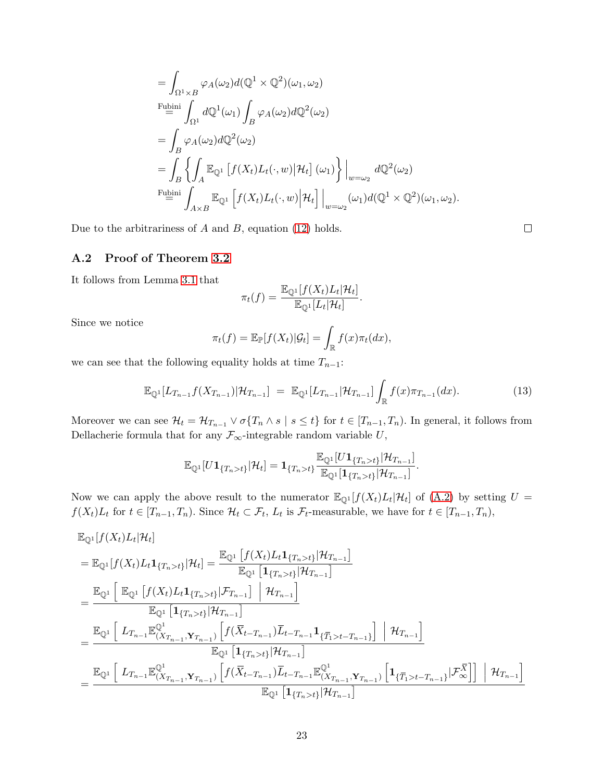$$
= \int_{\Omega^1 \times B} \varphi_A(\omega_2) d(\mathbb{Q}^1 \times \mathbb{Q}^2)(\omega_1, \omega_2)
$$
  
\nFubini 
$$
\int_{\Omega^1} d\mathbb{Q}^1(\omega_1) \int_B \varphi_A(\omega_2) d\mathbb{Q}^2(\omega_2)
$$
  
\n
$$
= \int_B \varphi_A(\omega_2) d\mathbb{Q}^2(\omega_2)
$$
  
\n
$$
= \int_B \left\{ \int_A \mathbb{E}_{\mathbb{Q}^1} \left[ f(X_t) L_t(\cdot, w) \middle| \mathcal{H}_t \right] (\omega_1) \right\} \Big|_{w = \omega_2} d\mathbb{Q}^2(\omega_2)
$$
  
\nFubini 
$$
\int_{A \times B} \mathbb{E}_{\mathbb{Q}^1} \left[ f(X_t) L_t(\cdot, w) \middle| \mathcal{H}_t \right] \Big|_{w = \omega_2} (\omega_1) d(\mathbb{Q}^1 \times \mathbb{Q}^2)(\omega_1, \omega_2).
$$

Due to the arbitrariness of *A* and *B*, equation [\(12\)](#page-22-1) holds.

$$
\qquad \qquad \Box
$$

### <span id="page-23-0"></span>**A.2 Proof of Theorem [3.2](#page-7-2)**

It follows from Lemma [3.1](#page-6-3) that

$$
\pi_t(f) = \frac{\mathbb{E}_{\mathbb{Q}^1}[f(X_t)L_t|\mathcal{H}_t]}{\mathbb{E}_{\mathbb{Q}^1}[L_t|\mathcal{H}_t]}.
$$

Since we notice

$$
\pi_t(f) = \mathbb{E}_{\mathbb{P}}[f(X_t)|\mathcal{G}_t] = \int_{\mathbb{R}} f(x)\pi_t(dx),
$$

we can see that the following equality holds at time  $T_{n-1}$ :

<span id="page-23-1"></span>
$$
\mathbb{E}_{\mathbb{Q}^1}[L_{T_{n-1}}f(X_{T_{n-1}})|\mathcal{H}_{T_{n-1}}] = \mathbb{E}_{\mathbb{Q}^1}[L_{T_{n-1}}|\mathcal{H}_{T_{n-1}}]\int_{\mathbb{R}}f(x)\pi_{T_{n-1}}(dx). \tag{13}
$$

Moreover we can see  $\mathcal{H}_t = \mathcal{H}_{T_{n-1}} \vee \sigma\{T_n \wedge s \mid s \leq t\}$  for  $t \in [T_{n-1}, T_n)$ . In general, it follows from Dellacherie formula that for any  $\mathcal{F}_{\infty}$ -integrable random variable  $U$ ,

$$
\mathbb{E}_{\mathbb{Q}^1}[U\mathbf{1}_{\{T_n>t\}}|\mathcal{H}_t]=\mathbf{1}_{\{T_n>t\}}\frac{\mathbb{E}_{\mathbb{Q}^1}[U\mathbf{1}_{\{T_n>t\}}|\mathcal{H}_{T_{n-1}}]}{\mathbb{E}_{\mathbb{Q}^1}[\mathbf{1}_{\{T_n>t\}}|\mathcal{H}_{T_{n-1}}]}.
$$

Now we can apply the above result to the numerator  $\mathbb{E}_{\mathbb{Q}^1}[f(X_t)L_t|\mathcal{H}_t]$  of [\(A.2\)](#page-23-0) by setting  $U =$  $f(X_t)L_t$  for  $t \in [T_{n-1},T_n)$ . Since  $\mathcal{H}_t \subset \mathcal{F}_t$ ,  $L_t$  is  $\mathcal{F}_t$ -measurable, we have for  $t \in [T_{n-1},T_n)$ ,

$$
\mathbb{E}_{\mathbb{Q}^{1}}[f(X_{t})L_{t}|\mathcal{H}_{t}]
$$
\n
$$
= \mathbb{E}_{\mathbb{Q}^{1}}[f(X_{t})L_{t}1_{\{T_{n}>t\}}|\mathcal{H}_{t}] = \frac{\mathbb{E}_{\mathbb{Q}^{1}}[f(X_{t})L_{t}1_{\{T_{n}>t\}}|\mathcal{H}_{T_{n-1}}]}{\mathbb{E}_{\mathbb{Q}^{1}}[1_{\{T_{n}>t\}}|\mathcal{H}_{T_{n-1}}]}
$$
\n
$$
= \frac{\mathbb{E}_{\mathbb{Q}^{1}}[ \mathbb{E}_{\mathbb{Q}^{1}}[f(X_{t})L_{t}1_{\{T_{n}>t\}}|\mathcal{F}_{T_{n-1}}] \mid \mathcal{H}_{T_{n-1}}]}{\mathbb{E}_{\mathbb{Q}^{1}}[1_{\{T_{n}>t\}}|\mathcal{H}_{T_{n-1}}]}
$$
\n
$$
= \frac{\mathbb{E}_{\mathbb{Q}^{1}}[ L_{T_{n-1}}\mathbb{E}_{(X_{T_{n-1}}, Y_{T_{n-1}})}^{(1)}[f(\bar{X}_{t-T_{n-1}})\bar{L}_{t-T_{n-1}}1_{\{\bar{T}_{1}>t-T_{n-1}\}}] \mid \mathcal{H}_{T_{n-1}}]}{\mathbb{E}_{\mathbb{Q}^{1}}[1_{\{T_{n}>t\}}|\mathcal{H}_{T_{n-1}}]}
$$
\n
$$
= \frac{\mathbb{E}_{\mathbb{Q}^{1}}[ L_{T_{n-1}}\mathbb{E}_{(X_{T_{n-1}}, Y_{T_{n-1}})}^{(1)}[f(\bar{X}_{t-T_{n-1}})\bar{L}_{t-T_{n-1}}\mathbb{E}_{(X_{T_{n-1}}, Y_{T_{n-1}})}^{(1)}[1_{\{\bar{T}_{1}>t-T_{n-1}\}}|\mathcal{F}_{\infty}^{\bar{X}}]] \mid \mathcal{H}_{T_{n-1}}]}{\mathbb{E}_{\mathbb{Q}^{1}}[1_{\{T_{n}>t\}}|\mathcal{H}_{T_{n-1}}]}
$$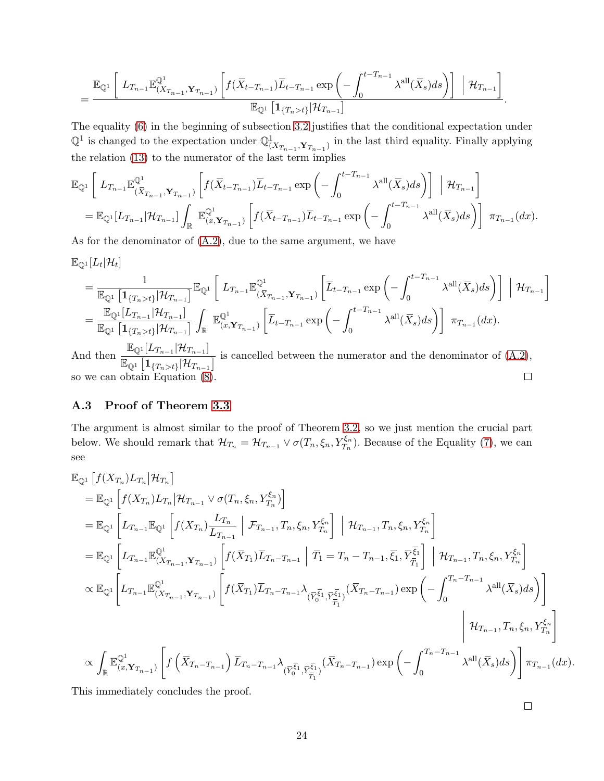$$
=\frac{\mathbb{E}_{\mathbb{Q}^1}\left[\ L_{T_{n-1}}\mathbb{E}_{(X_{T_{n-1}},\mathbf{Y}_{T_{n-1}})}^{\mathbb{Q}^1}\left[f(\bar{X}_{t-T_{n-1}})\bar{L}_{t-T_{n-1}}\exp\left(-\int_0^{t-T_{n-1}}\lambda^{\text{all}}(\bar{X}_s)ds\right)\right]\ \Big|\ \mathcal{H}_{T_{n-1}}\right]}{\mathbb{E}_{\mathbb{Q}^1}\left[\mathbf{1}_{\{T_n>t\}}|\mathcal{H}_{T_{n-1}}\right]}.
$$

The equality [\(6\)](#page-7-5) in the beginning of subsection [3.2](#page-6-4) justifies that the conditional expectation under  $\mathbb{Q}^1$  is changed to the expectation under  $\mathbb{Q}^1_{(X_{T_{n-1}}, \mathbf{Y}_{T_{n-1}})}$  in the last third equality. Finally applying the relation [\(13\)](#page-23-1) to the numerator of the last term implies

$$
\mathbb{E}_{\mathbb{Q}^1}\left[\ L_{T_{n-1}}\mathbb{E}_{(\bar{X}_{T_{n-1}},\mathbf{Y}_{T_{n-1}})}^{\mathbb{Q}^1}\left[f(\bar{X}_{t-T_{n-1}})\bar{L}_{t-T_{n-1}}\exp\left(-\int_0^{t-T_{n-1}} \lambda^{all}(\bar{X}_s)ds\right)\right] \Big| \mathcal{H}_{T_{n-1}}\right]
$$
\n
$$
= \mathbb{E}_{\mathbb{Q}^1}[L_{T_{n-1}}|\mathcal{H}_{T_{n-1}}]\int_{\mathbb{R}} \mathbb{E}_{(x,\mathbf{Y}_{T_{n-1}})}^{\mathbb{Q}^1}\left[f(\bar{X}_{t-T_{n-1}})\bar{L}_{t-T_{n-1}}\exp\left(-\int_0^{t-T_{n-1}} \lambda^{all}(\bar{X}_s)ds\right)\right] \pi_{T_{n-1}}(dx).
$$

As for the denominator of  $(A.2)$ , due to the same argument, we have

$$
\mathbb{E}_{\mathbb{Q}^1}[L_t|\mathcal{H}_t]
$$

$$
= \frac{1}{\mathbb{E}_{\mathbb{Q}^{1}}\left[\mathbf{1}_{\{T_{n}>t\}}|\mathcal{H}_{T_{n-1}}\right]} \mathbb{E}_{\mathbb{Q}^{1}}\left[\ L_{T_{n-1}}\mathbb{E}_{(\bar{X}_{T_{n-1}},\mathbf{Y}_{T_{n-1}})}^{(2)}\left[\overline{L}_{t-T_{n-1}}\exp\left(-\int_{0}^{t-T_{n-1}}\lambda^{all}(\bar{X}_{s})ds\right)\right] \Big| \mathcal{H}_{T_{n-1}}\right]
$$
  
\n
$$
= \frac{\mathbb{E}_{\mathbb{Q}^{1}}\left[L_{T_{n-1}}|\mathcal{H}_{T_{n-1}}\right]}{\mathbb{E}_{\mathbb{Q}^{1}}\left[\mathbf{1}_{\{T_{n}>t\}}|\mathcal{H}_{T_{n-1}}\right]} \int_{\mathbb{R}} \mathbb{E}_{(x,\mathbf{Y}_{T_{n-1}})}^{(2)}\left[\overline{L}_{t-T_{n-1}}\exp\left(-\int_{0}^{t-T_{n-1}}\lambda^{all}(\bar{X}_{s})ds\right)\right] \pi_{T_{n-1}}(dx).
$$
  
\n
$$
\mathbb{E}_{\mathbb{Q}^{1}}[L_{T_{n}}|\mathcal{H}_{T_{n-1}}]
$$

And then  $\frac{\mathbb{E}_{\mathbb{Q}^1}[L_{T_{n-1}}|\mathcal{H}_{T_{n-1}}]}{\mathbb{E}_{\mathbb{Z}}[L_{T_{n-1}}|\mathcal{H}_{T_{n-1}}]}$  $\frac{d}{d} \mathbb{E}_{\mathbb{Q}^1} \left[ \mathbf{1}_{\{T_n > t\}} | \mathcal{H}_{T_{n-1}} \right]$  is cancelled between the numerator and the denominator of  $(A.2)$ , so we can obtain Equation [\(8\)](#page-7-4).

## **A.3 Proof of Theorem [3.3](#page-7-3)**

The argument is almost similar to the proof of Theorem [3.2,](#page-7-2) so we just mention the crucial part below. We should remark that  $\mathcal{H}_{T_n} = \mathcal{H}_{T_{n-1}} \vee \sigma(T_n, \xi_n, Y_{T_n}^{\xi_n})$ . Because of the Equality [\(7\)](#page-7-6), we can see

$$
\mathbb{E}_{\mathbb{Q}^{1}}\left[f(X_{T_{n}})L_{T_{n}}|\mathcal{H}_{T_{n}}\right]
$$
\n
$$
= \mathbb{E}_{\mathbb{Q}^{1}}\left[f(X_{T_{n}})L_{T_{n}}|\mathcal{H}_{T_{n-1}}\vee\sigma(T_{n},\xi_{n},Y_{T_{n}}^{\xi_{n}})\right]
$$
\n
$$
= \mathbb{E}_{\mathbb{Q}^{1}}\left[L_{T_{n-1}}\mathbb{E}_{\mathbb{Q}^{1}}\left[f(X_{T_{n}})\frac{L_{T_{n}}}{L_{T_{n-1}}}\middle|\mathcal{F}_{T_{n-1}},T_{n},\xi_{n},Y_{T_{n}}^{\xi_{n}}\right]\middle|\mathcal{H}_{T_{n-1}},T_{n},\xi_{n},Y_{T_{n}}^{\xi_{n}}\right]
$$
\n
$$
= \mathbb{E}_{\mathbb{Q}^{1}}\left[L_{T_{n-1}}\mathbb{E}_{(X_{T_{n-1}},Y_{T_{n-1}})}^{\mathbb{Q}^{1}}\left[f(\bar{X}_{T_{1}})\bar{L}_{T_{n}-T_{n-1}}\middle|\mathcal{F}_{1} = T_{n}-T_{n-1},\bar{\xi}_{1},\bar{Y}_{\bar{T}_{1}}^{\bar{\xi}_{1}}\right]\middle|\mathcal{H}_{T_{n-1}},T_{n},\xi_{n},Y_{T_{n}}^{\xi_{n}}\right]
$$
\n
$$
\propto \mathbb{E}_{\mathbb{Q}^{1}}\left[L_{T_{n-1}}\mathbb{E}_{(X_{T_{n-1}},Y_{T_{n-1}})}^{\mathbb{Q}^{1}}\left[f(\bar{X}_{T_{1}})\bar{L}_{T_{n}-T_{n-1}}\lambda_{(\bar{Y}_{0}^{\bar{\xi}_{1}},\bar{Y}_{\bar{T}_{1}}^{\bar{\xi}_{1}})}(\bar{X}_{T_{n}-T_{n-1}})\exp\left(-\int_{0}^{T_{n}-T_{n-1}}\lambda^{\text{all}}(\bar{X}_{s})ds\right)\right]
$$
\n
$$
\propto \int_{\mathbb{R}}\mathbb{E}_{(x,\mathbf{Y}_{T_{n-1}})}^{\mathbb{Q}^{1}}\left[f\left(\bar{X}_{T_{n}-T_{n-1}}\right)\bar{L}_{T_{n}-T_{n-1}}\lambda_{(\bar{Y}_{0}^{\bar{\xi}_{1}},\
$$

This immediately concludes the proof.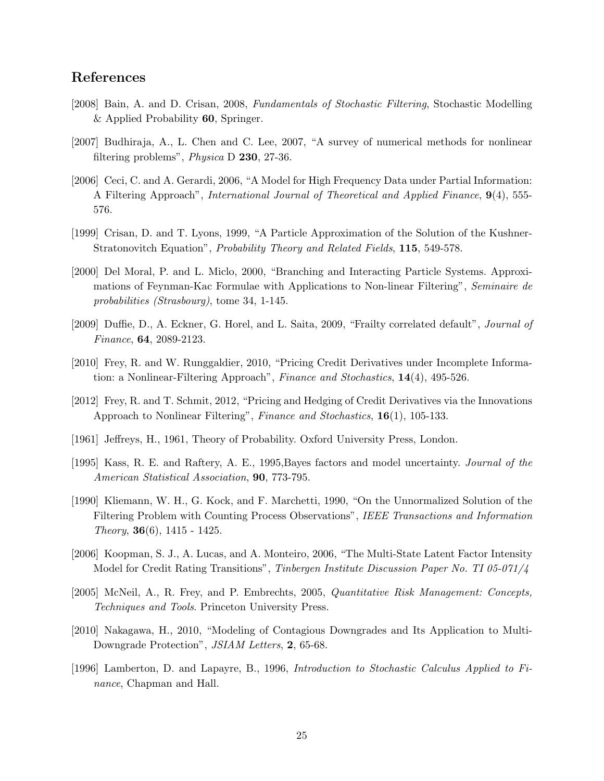# **References**

- <span id="page-25-7"></span>[2008] Bain, A. and D. Crisan, 2008, *Fundamentals of Stochastic Filtering*, Stochastic Modelling & Applied Probability **60**, Springer.
- <span id="page-25-8"></span>[2007] Budhiraja, A., L. Chen and C. Lee, 2007, "A survey of numerical methods for nonlinear filtering problems", *Physica* D **230**, 27-36.
- <span id="page-25-4"></span>[2006] Ceci, C. and A. Gerardi, 2006, "A Model for High Frequency Data under Partial Information: A Filtering Approach", *International Journal of Theoretical and Applied Finance*, **9**(4), 555- 576.
- <span id="page-25-6"></span>[1999] Crisan, D. and T. Lyons, 1999, "A Particle Approximation of the Solution of the Kushner-Stratonovitch Equation", *Probability Theory and Related Fields*, **115**, 549-578.
- <span id="page-25-5"></span>[2000] Del Moral, P. and L. Miclo, 2000, "Branching and Interacting Particle Systems. Approximations of Feynman-Kac Formulae with Applications to Non-linear Filtering", *Seminaire de probabilities (Strasbourg)*, tome 34, 1-145.
- <span id="page-25-0"></span>[2009] Duffie, D., A. Eckner, G. Horel, and L. Saita, 2009, "Frailty correlated default", *Journal of Finance*, **64**, 2089-2123.
- <span id="page-25-1"></span>[2010] Frey, R. and W. Runggaldier, 2010, "Pricing Credit Derivatives under Incomplete Information: a Nonlinear-Filtering Approach", *Finance and Stochastics*, **14**(4), 495-526.
- [2012] Frey, R. and T. Schmit, 2012, "Pricing and Hedging of Credit Derivatives via the Innovations Approach to Nonlinear Filtering", *Finance and Stochastics*, **16**(1), 105-133.
- <span id="page-25-9"></span>[1961] Jeffreys, H., 1961, Theory of Probability. Oxford University Press, London.
- <span id="page-25-10"></span>[1995] Kass, R. E. and Raftery, A. E., 1995,Bayes factors and model uncertainty. *Journal of the American Statistical Association*, **90**, 773-795.
- [1990] Kliemann, W. H., G. Kock, and F. Marchetti, 1990, "On the Unnormalized Solution of the Filtering Problem with Counting Process Observations", *IEEE Transactions and Information Theory*, **36**(6), 1415 - 1425.
- <span id="page-25-2"></span>[2006] Koopman, S. J., A. Lucas, and A. Monteiro, 2006, "The Multi-State Latent Factor Intensity Model for Credit Rating Transitions", *Tinbergen Institute Discussion Paper No. TI 05-071/4*
- [2005] McNeil, A., R. Frey, and P. Embrechts, 2005, *Quantitative Risk Management: Concepts, Techniques and Tools*. Princeton University Press.
- <span id="page-25-3"></span>[2010] Nakagawa, H., 2010, "Modeling of Contagious Downgrades and Its Application to Multi-Downgrade Protection", *JSIAM Letters*, **2**, 65-68.
- <span id="page-25-11"></span>[1996] Lamberton, D. and Lapayre, B., 1996, *Introduction to Stochastic Calculus Applied to Finance*, Chapman and Hall.